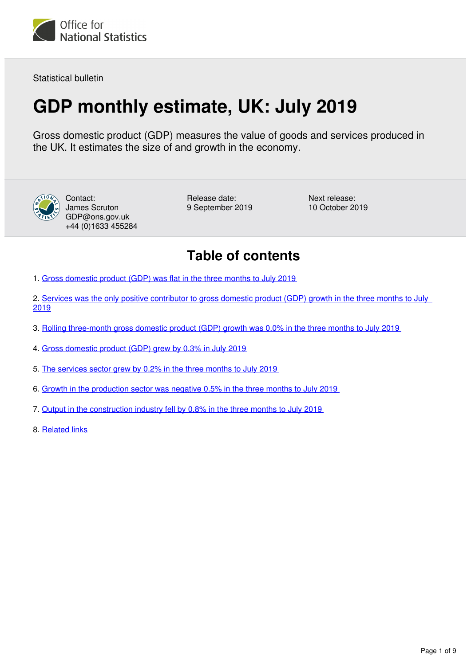

Statistical bulletin

# **GDP monthly estimate, UK: July 2019**

Gross domestic product (GDP) measures the value of goods and services produced in the UK. It estimates the size of and growth in the economy.



Contact: James Scruton GDP@ons.gov.uk +44 (0)1633 455284

Release date: 9 September 2019 Next release: 10 October 2019

# **Table of contents**

- 1. [Gross domestic product \(GDP\) was flat in the three months to July 2019](#page-1-0)
- 2. [Services was the only positive contributor to gross domestic product \(GDP\) growth in the three months to July](#page-2-0)  [2019](#page-2-0)
- 3. [Rolling three-month gross domestic product \(GDP\) growth was 0.0% in the three months to July 2019](#page-3-0)
- 4. [Gross domestic product \(GDP\) grew by 0.3% in July 2019](#page-4-0)
- 5. [The services sector grew by 0.2% in the three months to July 2019](#page-5-0)
- 6. [Growth in the production sector was negative 0.5% in the three months to July 2019](#page-6-0)
- 7. [Output in the construction industry fell by 0.8% in the three months to July 2019](#page-7-0)
- 8. [Related links](#page-8-0)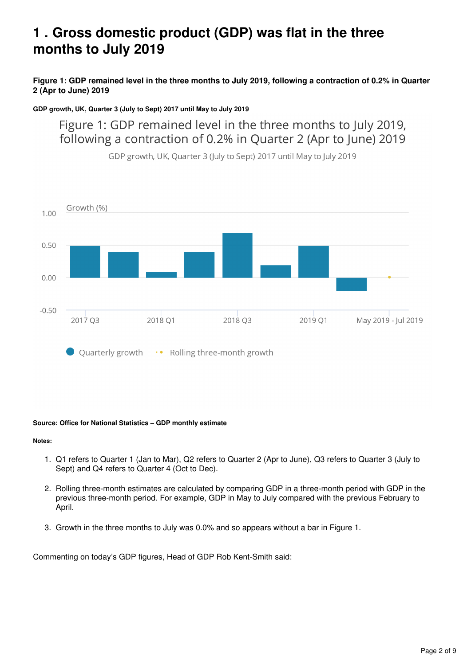# <span id="page-1-0"></span>**1 . Gross domestic product (GDP) was flat in the three months to July 2019**

### **Figure 1: GDP remained level in the three months to July 2019, following a contraction of 0.2% in Quarter 2 (Apr to June) 2019**

### **GDP growth, UK, Quarter 3 (July to Sept) 2017 until May to July 2019**

Figure 1: GDP remained level in the three months to July 2019, following a contraction of 0.2% in Quarter 2 (Apr to June) 2019



GDP growth, UK, Quarter 3 (July to Sept) 2017 until May to July 2019

### **Source: Office for National Statistics – GDP monthly estimate**

### **Notes:**

- 1. Q1 refers to Quarter 1 (Jan to Mar), Q2 refers to Quarter 2 (Apr to June), Q3 refers to Quarter 3 (July to Sept) and Q4 refers to Quarter 4 (Oct to Dec).
- 2. Rolling three-month estimates are calculated by comparing GDP in a three-month period with GDP in the previous three-month period. For example, GDP in May to July compared with the previous February to April.
- 3. Growth in the three months to July was 0.0% and so appears without a bar in Figure 1.

Commenting on today's GDP figures, Head of GDP Rob Kent-Smith said: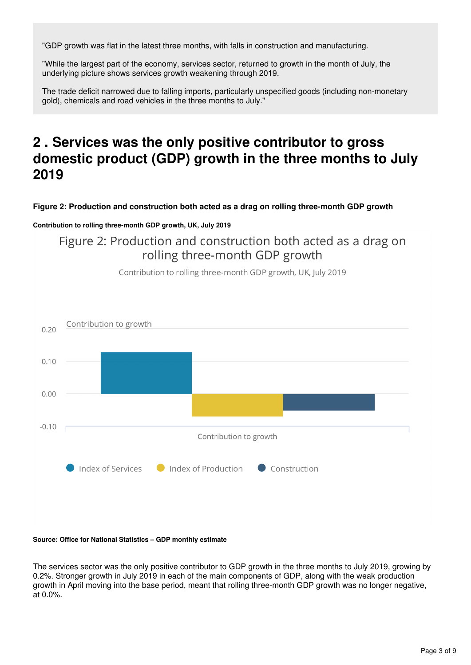"GDP growth was flat in the latest three months, with falls in construction and manufacturing.

"While the largest part of the economy, services sector, returned to growth in the month of July, the underlying picture shows services growth weakening through 2019.

The trade deficit narrowed due to falling imports, particularly unspecified goods (including non-monetary gold), chemicals and road vehicles in the three months to July."

# <span id="page-2-0"></span>**2 . Services was the only positive contributor to gross domestic product (GDP) growth in the three months to July 2019**

**Figure 2: Production and construction both acted as a drag on rolling three-month GDP growth**

### **Contribution to rolling three-month GDP growth, UK, July 2019**

Figure 2: Production and construction both acted as a drag on rolling three-month GDP growth

Contribution to rolling three-month GDP growth, UK, July 2019



### **Source: Office for National Statistics – GDP monthly estimate**

The services sector was the only positive contributor to GDP growth in the three months to July 2019, growing by 0.2%. Stronger growth in July 2019 in each of the main components of GDP, along with the weak production growth in April moving into the base period, meant that rolling three-month GDP growth was no longer negative, at 0.0%.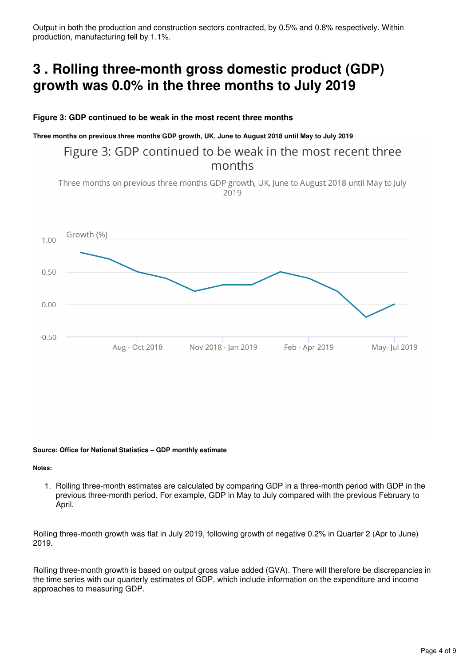Output in both the production and construction sectors contracted, by 0.5% and 0.8% respectively. Within production, manufacturing fell by 1.1%.

# <span id="page-3-0"></span>**3 . Rolling three-month gross domestic product (GDP) growth was 0.0% in the three months to July 2019**

### **Figure 3: GDP continued to be weak in the most recent three months**

**Three months on previous three months GDP growth, UK, June to August 2018 until May to July 2019**

### Figure 3: GDP continued to be weak in the most recent three months

Three months on previous three months GDP growth, UK, June to August 2018 until May to July 2019



#### **Source: Office for National Statistics – GDP monthly estimate**

**Notes:**

1. Rolling three-month estimates are calculated by comparing GDP in a three-month period with GDP in the previous three-month period. For example, GDP in May to July compared with the previous February to April.

Rolling three-month growth was flat in July 2019, following growth of negative 0.2% in Quarter 2 (Apr to June) 2019.

Rolling three-month growth is based on output gross value added (GVA). There will therefore be discrepancies in the time series with our quarterly estimates of GDP, which include information on the expenditure and income approaches to measuring GDP.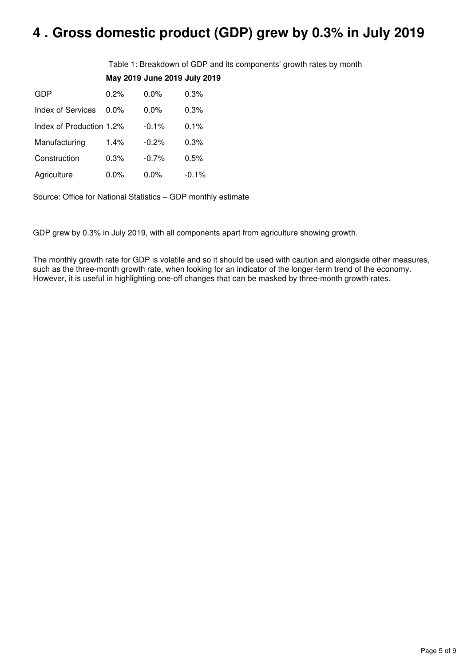# <span id="page-4-0"></span>**4 . Gross domestic product (GDP) grew by 0.3% in July 2019**

Table 1: Breakdown of GDP and its components' growth rates by month **May 2019 June 2019 July 2019**

| GDP                      | 0.2%    | $0.0\%$  | 0.3%     |
|--------------------------|---------|----------|----------|
| Index of Services        | $0.0\%$ | 0.0%     | 0.3%     |
| Index of Production 1.2% |         | $-0.1%$  | $0.1\%$  |
| Manufacturing            | 1.4%    | $-0.2%$  | 0.3%     |
| Construction             | 0.3%    | $-0.7\%$ | $0.5\%$  |
| Agriculture              | $0.0\%$ | $0.0\%$  | $-0.1\%$ |

Source: Office for National Statistics – GDP monthly estimate

GDP grew by 0.3% in July 2019, with all components apart from agriculture showing growth.

The monthly growth rate for GDP is volatile and so it should be used with caution and alongside other measures, such as the three-month growth rate, when looking for an indicator of the longer-term trend of the economy. However, it is useful in highlighting one-off changes that can be masked by three-month growth rates.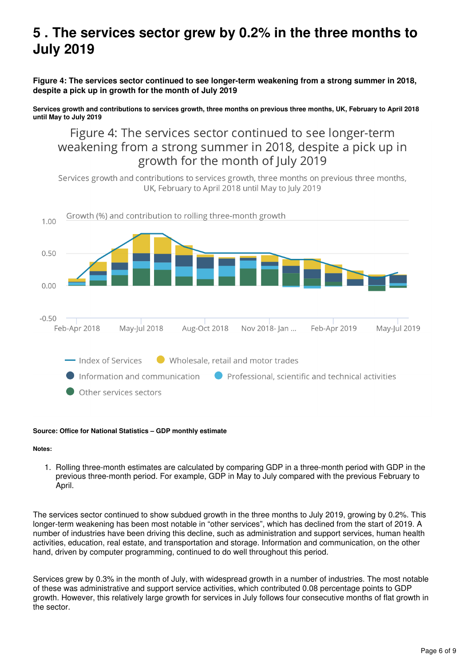# <span id="page-5-0"></span>**5 . The services sector grew by 0.2% in the three months to July 2019**

**Figure 4: The services sector continued to see longer-term weakening from a strong summer in 2018, despite a pick up in growth for the month of July 2019**

**Services growth and contributions to services growth, three months on previous three months, UK, February to April 2018 until May to July 2019**

Figure 4: The services sector continued to see longer-term weakening from a strong summer in 2018, despite a pick up in growth for the month of July 2019

Services growth and contributions to services growth, three months on previous three months, UK, February to April 2018 until May to July 2019



### **Source: Office for National Statistics – GDP monthly estimate**

#### **Notes:**

1. Rolling three-month estimates are calculated by comparing GDP in a three-month period with GDP in the previous three-month period. For example, GDP in May to July compared with the previous February to April.

The services sector continued to show subdued growth in the three months to July 2019, growing by 0.2%. This longer-term weakening has been most notable in "other services", which has declined from the start of 2019. A number of industries have been driving this decline, such as administration and support services, human health activities, education, real estate, and transportation and storage. Information and communication, on the other hand, driven by computer programming, continued to do well throughout this period.

Services grew by 0.3% in the month of July, with widespread growth in a number of industries. The most notable of these was administrative and support service activities, which contributed 0.08 percentage points to GDP growth. However, this relatively large growth for services in July follows four consecutive months of flat growth in the sector.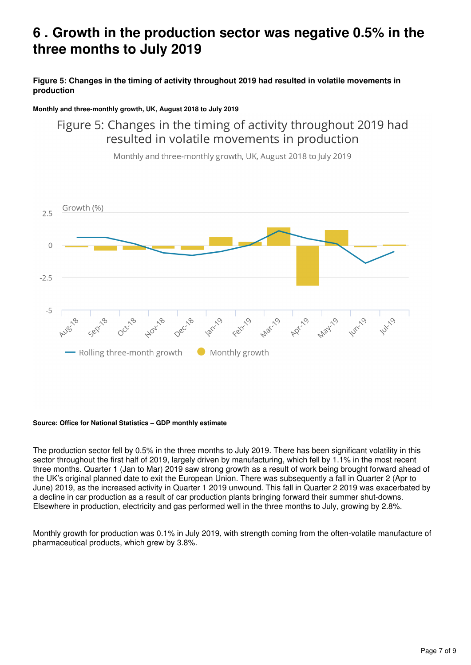# <span id="page-6-0"></span>**6 . Growth in the production sector was negative 0.5% in the three months to July 2019**

**Figure 5: Changes in the timing of activity throughout 2019 had resulted in volatile movements in production**

### **Monthly and three-monthly growth, UK, August 2018 to July 2019**

## Figure 5: Changes in the timing of activity throughout 2019 had resulted in volatile movements in production



Monthly and three-monthly growth, UK, August 2018 to July 2019

### **Source: Office for National Statistics – GDP monthly estimate**

The production sector fell by 0.5% in the three months to July 2019. There has been significant volatility in this sector throughout the first half of 2019, largely driven by manufacturing, which fell by 1.1% in the most recent three months. Quarter 1 (Jan to Mar) 2019 saw strong growth as a result of work being brought forward ahead of the UK's original planned date to exit the European Union. There was subsequently a fall in Quarter 2 (Apr to June) 2019, as the increased activity in Quarter 1 2019 unwound. This fall in Quarter 2 2019 was exacerbated by a decline in car production as a result of car production plants bringing forward their summer shut-downs. Elsewhere in production, electricity and gas performed well in the three months to July, growing by 2.8%.

Monthly growth for production was 0.1% in July 2019, with strength coming from the often-volatile manufacture of pharmaceutical products, which grew by 3.8%.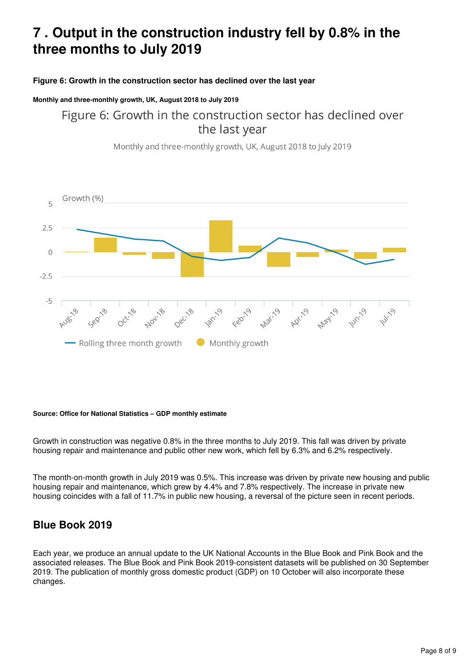# <span id="page-7-0"></span>**7 . Output in the construction industry fell by 0.8% in the three months to July 2019**

### **Figure 6: Growth in the construction sector has declined over the last year**

### **Monthly and three-monthly growth, UK, August 2018 to July 2019**

Figure 6: Growth in the construction sector has declined over the last year

Monthly and three-monthly growth, UK, August 2018 to July 2019



### **Source: Office for National Statistics – GDP monthly estimate**

Growth in construction was negative 0.8% in the three months to July 2019. This fall was driven by private housing repair and maintenance and public other new work, which fell by 6.3% and 6.2% respectively.

The month-on-month growth in July 2019 was 0.5%. This increase was driven by private new housing and public housing repair and maintenance, which grew by 4.4% and 7.8% respectively. The increase in private new housing coincides with a fall of 11.7% in public new housing, a reversal of the picture seen in recent periods.

### **Blue Book 2019**

Each year, we produce an annual update to the UK National Accounts in the Blue Book and Pink Book and the associated releases. The Blue Book and Pink Book 2019-consistent datasets will be published on 30 September 2019. The publication of monthly gross domestic product (GDP) on 10 October will also incorporate these changes.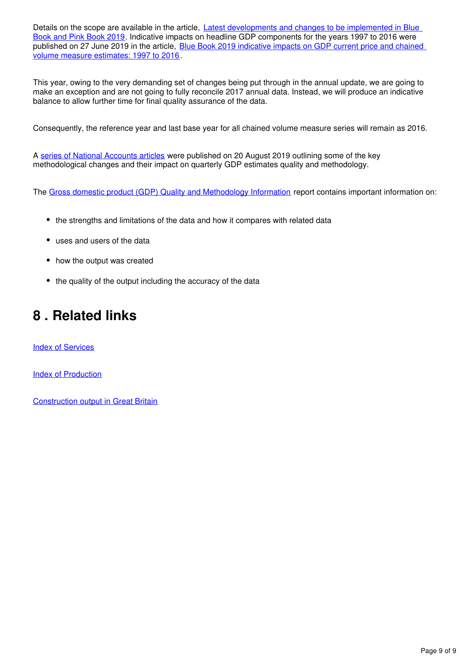Details on the scope are available in the article, Latest developments and changes to be implemented in Blue [Book and Pink Book 2019](https://www.ons.gov.uk/economy/nationalaccounts/uksectoraccounts/articles/nationalaccountsarticles/detailedassessmentofchangesbeingintroducedtobalanceofpaymentsannualestimates1997to2016). Indicative impacts on headline GDP components for the years 1997 to 2016 were published on 27 June 2019 in the article, Blue Book 2019 indicative impacts on GDP current price and chained [volume measure estimates: 1997 to 2016.](https://www.ons.gov.uk/economy/nationalaccounts/uksectoraccounts/articles/nationalaccountsarticles/bluebook2019indicativeimpactsongdpcurrentpriceandchainedvolumemeasureestimates1997to2016)

This year, owing to the very demanding set of changes being put through in the annual update, we are going to make an exception and are not going to fully reconcile 2017 annual data. Instead, we will produce an indicative balance to allow further time for final quality assurance of the data.

Consequently, the reference year and last base year for all chained volume measure series will remain as 2016.

A[series of National Accounts articles](https://www.ons.gov.uk/releases/nationalaccountsarticlesbluebook2019impactsongdpcurrentpriceandchainedvolumemeasureestimates1997to2016) were published on 20 August 2019 outlining some of the key methodological changes and their impact on quarterly GDP estimates quality and methodology.

The [Gross domestic product \(GDP\) Quality and Methodology Information](https://www.ons.gov.uk/economy/grossdomesticproductgdp/methodologies/grossdomesticproductgdpqmi) report contains important information on:

- the strengths and limitations of the data and how it compares with related data
- uses and users of the data
- how the output was created
- the quality of the output including the accuracy of the data

# <span id="page-8-0"></span>**8 . Related links**

[Index of Services](https://www.ons.gov.uk/economy/economicoutputandproductivity/output/bulletins/indexofservices/july2019)

[Index of Production](https://www.ons.gov.uk/economy/economicoutputandproductivity/output/bulletins/indexofproduction/july2019)

[Construction output in Great Britain](https://www.ons.gov.uk/businessindustryandtrade/constructionindustry/bulletins/constructionoutputingreatbritain/july2019andnewordersapriltojune2019)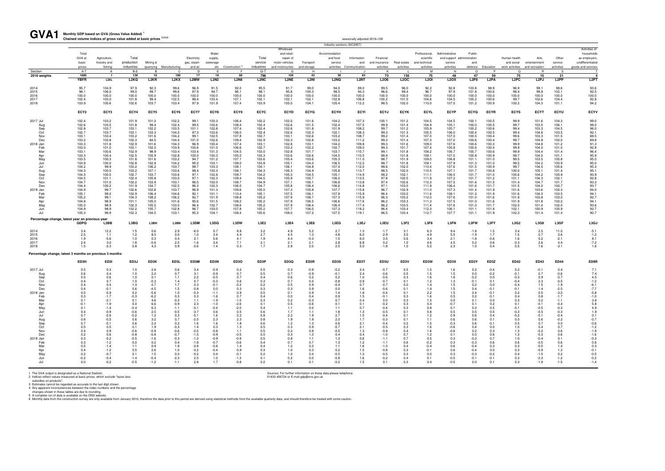1 The GVA output is designated as a National Statistic.<br>2 Indices reflect values measured at basic prices, which exclude "taxes less<br>3 Sources: For further information on these data please telephone<br>3 Estimates cannot be r

| GVA1                                                                                                                                                                                          | Monthly GDP based on GVA (Gross Value Added)<br>Chained volume indices of gross value added at basic prices <sup>2,3,4,5</sup>                                                                                                |                                                                                                                                                                                                                                |                                                                                                                                                                                                                               |                                                                                                                                                                                                                            |                                                                                                                                                                                                                               |                                                                                                                                                                                                                    |                                                                                                                                                                                                                                     |                                                                                                                                                                                                                               |                                                                                                                                                                                                                               |                                                                                                                                                                                                                               |                                                                                                                                                                                                                               |                                                                                                                                                                                                                               | seasonally adjusted 2016=100                                                                                                                                                                                                                                           |                                                                                                                                                                                                                                                  |                                                                                                                                                                                                                               |                                                                                                                                                                                                                               |                                                                                                                                                                                                                               |                                                                                                                                                                                                                               |                                                                                                                                                                                                                               |                                                                                                                                                                                                                  |                                                                                                                                                                                                                               |                                                                                                                                                                                                                               |                                                                                                                                                                                                                                                                                                           |
|-----------------------------------------------------------------------------------------------------------------------------------------------------------------------------------------------|-------------------------------------------------------------------------------------------------------------------------------------------------------------------------------------------------------------------------------|--------------------------------------------------------------------------------------------------------------------------------------------------------------------------------------------------------------------------------|-------------------------------------------------------------------------------------------------------------------------------------------------------------------------------------------------------------------------------|----------------------------------------------------------------------------------------------------------------------------------------------------------------------------------------------------------------------------|-------------------------------------------------------------------------------------------------------------------------------------------------------------------------------------------------------------------------------|--------------------------------------------------------------------------------------------------------------------------------------------------------------------------------------------------------------------|-------------------------------------------------------------------------------------------------------------------------------------------------------------------------------------------------------------------------------------|-------------------------------------------------------------------------------------------------------------------------------------------------------------------------------------------------------------------------------|-------------------------------------------------------------------------------------------------------------------------------------------------------------------------------------------------------------------------------|-------------------------------------------------------------------------------------------------------------------------------------------------------------------------------------------------------------------------------|-------------------------------------------------------------------------------------------------------------------------------------------------------------------------------------------------------------------------------|-------------------------------------------------------------------------------------------------------------------------------------------------------------------------------------------------------------------------------|------------------------------------------------------------------------------------------------------------------------------------------------------------------------------------------------------------------------------------------------------------------------|--------------------------------------------------------------------------------------------------------------------------------------------------------------------------------------------------------------------------------------------------|-------------------------------------------------------------------------------------------------------------------------------------------------------------------------------------------------------------------------------|-------------------------------------------------------------------------------------------------------------------------------------------------------------------------------------------------------------------------------|-------------------------------------------------------------------------------------------------------------------------------------------------------------------------------------------------------------------------------|-------------------------------------------------------------------------------------------------------------------------------------------------------------------------------------------------------------------------------|-------------------------------------------------------------------------------------------------------------------------------------------------------------------------------------------------------------------------------|------------------------------------------------------------------------------------------------------------------------------------------------------------------------------------------------------------------|-------------------------------------------------------------------------------------------------------------------------------------------------------------------------------------------------------------------------------|-------------------------------------------------------------------------------------------------------------------------------------------------------------------------------------------------------------------------------|-----------------------------------------------------------------------------------------------------------------------------------------------------------------------------------------------------------------------------------------------------------------------------------------------------------|
|                                                                                                                                                                                               |                                                                                                                                                                                                                               |                                                                                                                                                                                                                                |                                                                                                                                                                                                                               |                                                                                                                                                                                                                            |                                                                                                                                                                                                                               |                                                                                                                                                                                                                    |                                                                                                                                                                                                                                     |                                                                                                                                                                                                                               |                                                                                                                                                                                                                               |                                                                                                                                                                                                                               |                                                                                                                                                                                                                               |                                                                                                                                                                                                                               | Industry sections (SIC2007)                                                                                                                                                                                                                                            |                                                                                                                                                                                                                                                  |                                                                                                                                                                                                                               |                                                                                                                                                                                                                               |                                                                                                                                                                                                                               |                                                                                                                                                                                                                               |                                                                                                                                                                                                                               |                                                                                                                                                                                                                  |                                                                                                                                                                                                                               |                                                                                                                                                                                                                               |                                                                                                                                                                                                                                                                                                           |
|                                                                                                                                                                                               | Total<br>GVA at<br>basic<br>prices                                                                                                                                                                                            | Agriculture,<br>forestry and<br>fishing                                                                                                                                                                                        | Total<br>production<br>industries                                                                                                                                                                                             | Mining &<br>quarrying                                                                                                                                                                                                      | Manufacturing                                                                                                                                                                                                                 | Electricity<br>gas, steam<br>and air                                                                                                                                                                               | Water<br>supply.<br>sewerage<br>etc                                                                                                                                                                                                 | Construction <sup>6</sup>                                                                                                                                                                                                     | Total<br>service<br>industries                                                                                                                                                                                                | Wholesale<br>and retail:<br>repair of<br>motor vehicles<br>and motorcycles                                                                                                                                                    | Transport<br>and storage                                                                                                                                                                                                      | Accommodation<br>and food<br>service<br>activities                                                                                                                                                                            | Information<br>and<br>Communication                                                                                                                                                                                                                                    | Financial<br>and insurance<br>activities                                                                                                                                                                                                         | Real estate<br>activities                                                                                                                                                                                                     | Professional,<br>scientific<br>and technical<br>activities                                                                                                                                                                    | Administrative<br>and support administration<br>service<br>activities                                                                                                                                                         | Public<br>and<br>defence                                                                                                                                                                                                      | Education                                                                                                                                                                                                                     | Human health<br>and social<br>work activities                                                                                                                                                                    | Arts,<br>entertainment<br>and recreation                                                                                                                                                                                      | Other<br>service<br>activities                                                                                                                                                                                                | Activities of<br>households<br>as employers.<br>undifferentiated<br>goods and services                                                                                                                                                                                                                    |
| Section                                                                                                                                                                                       | A-T                                                                                                                                                                                                                           | A                                                                                                                                                                                                                              | B-E                                                                                                                                                                                                                           | <b>B</b>                                                                                                                                                                                                                   | C                                                                                                                                                                                                                             | D                                                                                                                                                                                                                  | -F                                                                                                                                                                                                                                  | - F                                                                                                                                                                                                                           | G-T                                                                                                                                                                                                                           | G                                                                                                                                                                                                                             | H                                                                                                                                                                                                                             |                                                                                                                                                                                                                               |                                                                                                                                                                                                                                                                        | K                                                                                                                                                                                                                                                |                                                                                                                                                                                                                               | M                                                                                                                                                                                                                             | - N                                                                                                                                                                                                                           | $\circ$                                                                                                                                                                                                                       | P                                                                                                                                                                                                                             | $\Omega$                                                                                                                                                                                                         | <b>R</b>                                                                                                                                                                                                                      | <b>S</b>                                                                                                                                                                                                                      |                                                                                                                                                                                                                                                                                                           |
| 2016 weights                                                                                                                                                                                  | 1000<br><b>YBFR</b>                                                                                                                                                                                                           | $\overline{7}$<br>L <sub>2KL</sub>                                                                                                                                                                                             | 138<br>L2KQ                                                                                                                                                                                                                   | 10<br>L <sub>2</sub> KR                                                                                                                                                                                                    | 100<br>L <sub>2</sub> KX                                                                                                                                                                                                      | 17<br>L2MW                                                                                                                                                                                                         | 10<br><b>L2N2</b>                                                                                                                                                                                                                   | 60<br><b>L2N8</b>                                                                                                                                                                                                             | 796<br>L <sub>2</sub> NC                                                                                                                                                                                                      | 104<br>L2NE                                                                                                                                                                                                                   | 43<br>L <sub>2NI</sub>                                                                                                                                                                                                        | 30<br>L <sub>2</sub> NQ                                                                                                                                                                                                       | 63<br>L <sub>2</sub> NT                                                                                                                                                                                                                                                | 73<br>L2O6                                                                                                                                                                                                                                       | 138<br>L2OC                                                                                                                                                                                                                   | 75<br><b>L2OI</b>                                                                                                                                                                                                             | 48<br><b>L2OX</b>                                                                                                                                                                                                             | 47<br><b>L2P8</b>                                                                                                                                                                                                             | 59<br>L <sub>2</sub> PA                                                                                                                                                                                                       | 75<br>L <sub>2</sub> PC                                                                                                                                                                                          | 15<br>L <sub>2</sub> PJ                                                                                                                                                                                                       | 21<br>L <sub>2</sub> PP                                                                                                                                                                                                       | $\overline{\phantom{a}}$<br>L <sub>2</sub> PT                                                                                                                                                                                                                                                             |
| 2014<br>2015<br>2016<br>2017<br>2018                                                                                                                                                          | 95.7<br>98.1<br>100.0<br>102.4<br>103.9                                                                                                                                                                                       | 104.9<br>106.0<br>100.0<br>103.0<br>100.6                                                                                                                                                                                      | 97.9<br>99.0<br>100.0<br>101.8<br>102.6                                                                                                                                                                                       | 92.3<br>99.7<br>100.0<br>99.4<br>103.7                                                                                                                                                                                     | 99.6<br>99.6<br>100.0<br>102.5<br>103.4                                                                                                                                                                                       | 96.9<br>97.9<br>100.0<br>98.4<br>97.9                                                                                                                                                                              | 91.5<br>94.7<br>100.0<br>103.4<br>101.9                                                                                                                                                                                             | 92.0<br>96.1<br>100.0<br>107.1<br>107.4                                                                                                                                                                                       | 95.5<br>98.1<br>100.0<br>102.1<br>103.9                                                                                                                                                                                       | 91.7<br>95.8<br>100.0<br>102.1<br>105.0                                                                                                                                                                                       | 99.0<br>100.3<br>100.0<br>102.1<br>104.1                                                                                                                                                                                      | 94.0<br>98.5<br>100.0<br>102.8<br>105.4                                                                                                                                                                                       | 89.0<br>94.3<br>100.0<br>106.8<br>112.2                                                                                                                                                                                                                                | 99.5<br>96.6<br>100.0<br>100.2<br>98.5                                                                                                                                                                                                           | 96.0<br>99.4<br>100.0<br>101.0<br>102.0                                                                                                                                                                                       | 92.2<br>96.7<br>100.0<br>104.6<br>110.0                                                                                                                                                                                       | 92.8<br>97.9<br>100.0<br>104.5<br>107.0                                                                                                                                                                                       | 103.8<br>101.8<br>100.0<br>100.2<br>101.2                                                                                                                                                                                     | 98.9<br>100.6<br>100.0<br>100.6<br>100.9                                                                                                                                                                                      | 96.9<br>98.4<br>100.0<br>99.7<br>100.2                                                                                                                                                                           | 99.1<br>99.8<br>100.0<br>102.6<br>104.3                                                                                                                                                                                       | 98.6<br>102.1<br>100.0<br>104.4<br>101.1                                                                                                                                                                                      | 93.6<br>92.5<br>100.0<br>92.8<br>94.2                                                                                                                                                                                                                                                                     |
|                                                                                                                                                                                               | ECY <sub>2</sub>                                                                                                                                                                                                              | ECY3                                                                                                                                                                                                                           | ECY4                                                                                                                                                                                                                          | ECY5                                                                                                                                                                                                                       | ECY6                                                                                                                                                                                                                          | ECY7                                                                                                                                                                                                               | ECY8                                                                                                                                                                                                                                | ECY9                                                                                                                                                                                                                          | <b>ECYC</b>                                                                                                                                                                                                                   | <b>ECYD</b>                                                                                                                                                                                                                   | <b>ECYG</b>                                                                                                                                                                                                                   | <b>ECYH</b>                                                                                                                                                                                                                   | <b>ECYI</b>                                                                                                                                                                                                                                                            | <b>ECYJ</b>                                                                                                                                                                                                                                      | <b>ECYK</b>                                                                                                                                                                                                                   | <b>ECYL</b>                                                                                                                                                                                                                   | <b>ECYP</b>                                                                                                                                                                                                                   | <b>ECYQ</b>                                                                                                                                                                                                                   | <b>ECYR</b>                                                                                                                                                                                                                   | <b>ECYS</b>                                                                                                                                                                                                      | <b>ECYT</b>                                                                                                                                                                                                                   | <b>ECYU</b>                                                                                                                                                                                                                   | <b>ECYV</b>                                                                                                                                                                                                                                                                                               |
| 2017 Jul<br>Aug<br>Sep<br>Oct<br>Nov<br>Dec<br>2018 Jan<br>Feb<br>Mar<br>Apr<br>May<br>Jun<br>Jul<br>Aug<br>Sep<br>Oct<br>Nov<br>Dec<br>2019 Jan<br>Feb<br>Mar<br>Apr<br>May<br>Jun<br>. In I | 102.4<br>102.6<br>102.8<br>102.7<br>103.1<br>103.2<br>103.3<br>103.0<br>103.1<br>103.3<br>103.5<br>103.9<br>104.2<br>104.3<br>104.3<br>104.5<br>104.7<br>104.4<br>104.9<br>105.1<br>105.2<br>104.8<br>105.0<br>104.9<br>105.3 | 103.2<br>103.5<br>103.7<br>103.7<br>103.4<br>102.8<br>101.8<br>101.0<br>100.6<br>100.4<br>100.3<br>100.0<br>99.9<br>100.0<br>100.5<br>101.1<br>101.0<br>100.2<br>99.7<br>99.2<br>99.1<br>98.9<br>98.9<br>98.9<br>98.9          | 101.9<br>101.8<br>103.1<br>103.1<br>103.2<br>102.3<br>102.9<br>103.1<br>102.9<br>102.5<br>101.8<br>102.8<br>103.2<br>103.2<br>102.7<br>102.4<br>102.2<br>101.9<br>102.6<br>102.9<br>104.3<br>101.1<br>102.3<br>102.2<br>102.3 | 101.3<br>99.4<br>102.2<br>103.3<br>101.6<br>84.5<br>101.6<br>102.0<br>98.9<br>105.9<br>101.6<br>102.8<br>106.2<br>107.1<br>103.7<br>105.8<br>103.9<br>104.7<br>102.8<br>106.4<br>108.2<br>105.0<br>105.5<br>105.7<br>104.5 | 102.2<br>102.4<br>103.5<br>104.0<br>104.2<br>104.4<br>104.3<br>103.9<br>103.4<br>102.8<br>103.2<br>104.2<br>103.7<br>103.6<br>103.6<br>103.0<br>103.1<br>102.5<br>103.7<br>104.6<br>106.2<br>101.6<br>103.0<br>102.8<br>103.1 | 99.1<br>99.5<br>101.1<br>97.3<br>99.1<br>101.0<br>96.9<br>100.6<br>103.4<br>100.0<br>94.7<br>95.0<br>98.7<br>98.4<br>97.1<br>97.1<br>96.5<br>96.3<br>96.9<br>92.1<br>92.7<br>95.6<br>96.4<br>96.7<br>95.3          | 103.3<br>102.6<br>102.8<br>103.6<br>102.5<br>102.6<br>100.4<br>101.0<br>101.3<br>100.3<br>101.2<br>103.1<br>103.3<br>103.3<br>102.8<br>102.3<br>102.0<br>102.3<br>101.3<br>101.1<br>101.9<br>101.5<br>102.7<br>103.0<br>104.1       | 106.4<br>108.4<br>107.4<br>106.0<br>107.8<br>109.4<br>107.4<br>106.6<br>104.5<br>105.0<br>107.1<br>108.0<br>108.1<br>108.1<br>109.7<br>109.4<br>108.7<br>106.0<br>109.6<br>110.4<br>108.8<br>108.2<br>108.6<br>107.8<br>108.4 | 102.2<br>102.4<br>102.4<br>102.4<br>102.7<br>102.9<br>103.1<br>102.7<br>103.0<br>103.3<br>103.6<br>103.8<br>104.1<br>104.3<br>104.2<br>104.5<br>104.9<br>104.7<br>105.0<br>105.1<br>105.2<br>105.2<br>105.2<br>105.2<br>105.6 | 102.0<br>102.6<br>102.6<br>102.6<br>103.1<br>102.3<br>102.8<br>103.3<br>102.8<br>103.6<br>105.4<br>105.1<br>106.1<br>106.3<br>105.3<br>105.9<br>107.1<br>105.8<br>107.3<br>107.5<br>107.9<br>107.9<br>107.9<br>107.7<br>108.0 | 101.6<br>101.5<br>101.8<br>102.3<br>102.6<br>102.8<br>103.1<br>102.2<br>101.7<br>102.6<br>103.6<br>104.0<br>104.8<br>104.9<br>104.5<br>105.7<br>106.1<br>106.4<br>105.8<br>106.1<br>106.7<br>106.5<br>106.4<br>106.0<br>107.2 | 104.2<br>102.4<br>101.9<br>102.1<br>103.2<br>103.2<br>104.2<br>102.7<br>103.7<br>104.5<br>105.3<br>106.5<br>107.4<br>105.8<br>105.1<br>106.0<br>106.8<br>106.6<br>107.7<br>107.8<br>107.3<br>106.6<br>106.4<br>107.3<br>107.5 | 107.3<br>107.5<br>108.2<br>108.3<br>108.7<br>111.2<br>109.8<br>109.0<br>110.7<br>110.5<br>111.0<br>112.2<br>112.0<br>113.7<br>114.9<br>113.5<br>113.8<br>114.8<br>115.8<br>115.9<br>115.9<br>117.6<br>117.4<br>118.2<br>119.1                                          | 100.1<br>99.9<br>99.7<br>99.3<br>99.2<br>99.3<br>99.3<br>99.3<br>99.1<br>98.9<br>98.7<br>98.7<br>98.6<br>98.5<br>98.2<br>97.8<br>97.4<br>97.1<br>96.7<br>96.4<br>96.3<br>96.2<br>96.2<br>96.4<br>96.5                                            | 101.2<br>101.4<br>101.2<br>101.3<br>101.4<br>101.4<br>101.6<br>101.7<br>101.8<br>101.8<br>101.9<br>101.8<br>102.0<br>102.0<br>102.1<br>102.5<br>102.6<br>103.0<br>102.9<br>103.0<br>103.2<br>103.3<br>103.5<br>103.4<br>103.4 | 104.5<br>104.9<br>105.9<br>105.5<br>107.0<br>107.3<br>109.0<br>107.4<br>108.2<br>109.1<br>109.0<br>109.1<br>110.4<br>110.5<br>111.1<br>111.9<br>112.3<br>111.9<br>111.0<br>111.6<br>112.0<br>111.3<br>111.4<br>112.3<br>112.7 | 104.5<br>105.1<br>105.7<br>106.0<br>107.0<br>107.0<br>107.6<br>105.8<br>106.7<br>107.0<br>106.8<br>107.9<br>107.6<br>107.1<br>106.0<br>107.2<br>107.5<br>106.4<br>107.3<br>108.1<br>107.6<br>107.5<br>107.6<br>106.1<br>107.7 | 100.1<br>100.0<br>100.2<br>100.4<br>100.5<br>100.6<br>100.6<br>100.6<br>100.7<br>100.8<br>101.1<br>101.3<br>101.5<br>101.7<br>101.7<br>101.7<br>101.6<br>101.6<br>101.4<br>101.2<br>101.0<br>101.0<br>101.0<br>101.1<br>101.1 | 100.5<br>100.5<br>100.6<br>100.5<br>100.4<br>100.4<br>100.3<br>100.4<br>100.6<br>100.9<br>101.0<br>101.0<br>100.9<br>100.8<br>101.0<br>101.2<br>101.5<br>101.7<br>101.9<br>101.9<br>101.6<br>101.6<br>101.7<br>101.8<br>101.9 | 99.9<br>99.7<br>99.4<br>99.4<br>99.6<br>99.7<br>99.9<br>99.9<br>99.9<br>99.7<br>99.5<br>99.5<br>99.7<br>100.0<br>100.6<br>101.1<br>101.4<br>101.5<br>101.6<br>101.6<br>101.9<br>101.9<br>102.0<br>102.1<br>102.3 | 101.6<br>103.5<br>103.3<br>104.6<br>103.3<br>104.8<br>104.8<br>104.0<br>104.4<br>104.0<br>103.5<br>104.2<br>104.5<br>105.1<br>104.2<br>104.3<br>104.7<br>104.0<br>103.6<br>104.0<br>103.8<br>101.8<br>101.4<br>100.9<br>101.4 | 104.3<br>106.1<br>104.5<br>103.5<br>101.5<br>102.0<br>101.2<br>101.0<br>101.4<br>101.1<br>100.8<br>100.9<br>100.6<br>101.4<br>100.9<br>102.1<br>101.7<br>100.7<br>102.3<br>103.5<br>103.0<br>102.2<br>102.0<br>100.9<br>101.4 | 99.0<br>98.0<br>96.0<br>92.1<br>88.5<br>89.8<br>91.3<br>92.8<br>96.4<br>95.9<br>95.0<br>95.0<br>95.3<br>95.1<br>93.9<br>92.8<br>93.3<br>93.7<br>94.0<br>94.1<br>92.7<br>94.1<br>93.6<br>92.7<br>90.7                                                                                                      |
| Percentage change, latest year on previous year                                                                                                                                               | GDPQ                                                                                                                                                                                                                          | L3BB                                                                                                                                                                                                                           | L3BG                                                                                                                                                                                                                          | L3BH                                                                                                                                                                                                                       | L3BN                                                                                                                                                                                                                          | L3DM                                                                                                                                                                                                               | L3DQ                                                                                                                                                                                                                                | L3DW                                                                                                                                                                                                                          | <b>L3E2</b>                                                                                                                                                                                                                   | L3E4                                                                                                                                                                                                                          | L3E8                                                                                                                                                                                                                          | L3EG                                                                                                                                                                                                                          | L3EJ                                                                                                                                                                                                                                                                   | L3EU                                                                                                                                                                                                                                             | <b>L3F2</b>                                                                                                                                                                                                                   | <b>L3F8</b>                                                                                                                                                                                                                   | L3FN                                                                                                                                                                                                                          | L3FW                                                                                                                                                                                                                          | L3FY                                                                                                                                                                                                                          | L3G2                                                                                                                                                                                                             | L3G9                                                                                                                                                                                                                          | L3GF                                                                                                                                                                                                                          | L3GJ                                                                                                                                                                                                                                                                                                      |
| 2014<br>2015<br>2016<br>2017<br>2018                                                                                                                                                          | 3.4<br>2.5<br>1.9<br>2.4<br>1.5                                                                                                                                                                                               | 12.2<br>1.1<br>$-5.6$<br>3.0<br>$-2.3$                                                                                                                                                                                         | 1.5<br>1.2<br>1.0<br>1.8<br>0.8                                                                                                                                                                                               | 0.6<br>8.0<br>0.3<br>$-0.6$<br>4.3                                                                                                                                                                                         | 2.9<br>0.0<br>0.4<br>2.5<br>0.9                                                                                                                                                                                               | $-6.0$<br>1.0<br>2.1<br>$-1.6$<br>$-0.6$                                                                                                                                                                           | 0.7<br>3.4<br>5.6<br>3.4<br>$-1.4$                                                                                                                                                                                                  | 8.8<br>4.4<br>4.1<br>7.1<br>0.3                                                                                                                                                                                               | 3.2<br>2.7<br>1.9<br>2.1<br>1.7                                                                                                                                                                                               | 4.9<br>4.5<br>4.4<br>2.1<br>2.8                                                                                                                                                                                               | 5.2<br>1.3<br>$-0.3$<br>2.1<br>2.0                                                                                                                                                                                            | 2.7<br>4.8<br>1.5<br>2.8<br>2.5                                                                                                                                                                                               | 1.3<br>6.0<br>6.0<br>6.8<br>5.0                                                                                                                                                                                                                                        | $-1.7$<br>$-2.9$<br>3.5<br>0.2<br>$-1.8$                                                                                                                                                                                                         | 3.1<br>3.5<br>0.6<br>1.0<br>1.0                                                                                                                                                                                               | 6.3<br>4.9<br>3.4<br>4.6<br>5.2                                                                                                                                                                                               | 9.4<br>5.5<br>2.1<br>4.5<br>2.3                                                                                                                                                                                               | $-1.8$<br>$-1.9$<br>$-1.8$<br>0.2<br>1.0                                                                                                                                                                                      | 1.5<br>1.7<br>$-0.6$<br>0.6<br>0.4                                                                                                                                                                                            | 3.4<br>1.5<br>1.6<br>$-0.3$<br>0.5                                                                                                                                                                               | 2.5<br>0.7<br>0.2<br>2.6<br>1.6                                                                                                                                                                                               | 11.0<br>3.6<br>$-2.1$<br>4.4<br>$-3.1$                                                                                                                                                                                        | $-5.1$<br>$-1.2$<br>8.1<br>$-7.2$<br>1.6                                                                                                                                                                                                                                                                  |
| Percentage change, latest 3 months on previous 3 months                                                                                                                                       |                                                                                                                                                                                                                               |                                                                                                                                                                                                                                |                                                                                                                                                                                                                               |                                                                                                                                                                                                                            |                                                                                                                                                                                                                               |                                                                                                                                                                                                                    |                                                                                                                                                                                                                                     |                                                                                                                                                                                                                               |                                                                                                                                                                                                                               |                                                                                                                                                                                                                               |                                                                                                                                                                                                                               |                                                                                                                                                                                                                               |                                                                                                                                                                                                                                                                        |                                                                                                                                                                                                                                                  |                                                                                                                                                                                                                               |                                                                                                                                                                                                                               |                                                                                                                                                                                                                               |                                                                                                                                                                                                                               |                                                                                                                                                                                                                               |                                                                                                                                                                                                                  |                                                                                                                                                                                                                               |                                                                                                                                                                                                                               |                                                                                                                                                                                                                                                                                                           |
|                                                                                                                                                                                               | ED3H                                                                                                                                                                                                                          | ED3I                                                                                                                                                                                                                           | ED3J                                                                                                                                                                                                                          | ED3K                                                                                                                                                                                                                       | ED3L                                                                                                                                                                                                                          | ED3M                                                                                                                                                                                                               | ED3N                                                                                                                                                                                                                                | ED3O                                                                                                                                                                                                                          | ED3P                                                                                                                                                                                                                          | ED3Q                                                                                                                                                                                                                          | ED3R                                                                                                                                                                                                                          | ED3S                                                                                                                                                                                                                          | ED3T                                                                                                                                                                                                                                                                   | ED3U                                                                                                                                                                                                                                             | ED3V                                                                                                                                                                                                                          | ED3W                                                                                                                                                                                                                          | ED3X                                                                                                                                                                                                                          | ED3Y                                                                                                                                                                                                                          | ED3Z                                                                                                                                                                                                                          | <b>ED42</b>                                                                                                                                                                                                      | <b>ED43</b>                                                                                                                                                                                                                   | <b>ED44</b>                                                                                                                                                                                                                   | ED9R                                                                                                                                                                                                                                                                                                      |
| 2017 Jul<br>Aug<br>Sep<br>Oct<br>Nov<br>Dec<br>2018 Jan<br>Feb<br>Mar<br>Apr<br>May<br>Jun<br>Jul<br>Aug<br>Sep<br>Oct<br>Nov<br>Dec<br>2019 Jan<br>Feb<br>Mar<br>Apr<br>May<br>Jun           | 0.5<br>0.6<br>0.5<br>0.4<br>0.4<br>0.4<br>0.5<br>0.3<br>0.1<br>$-0.1$<br>0.1<br>0.4<br>0.7<br>0.8<br>0.7<br>0.5<br>0.4<br>0.2<br>0.3<br>0.3<br>0.5<br>0.4<br>0.2<br>$-0.2$<br>0.0                                             | 0.3<br>0.4<br>0.6<br>0.7<br>0.4<br>$-0.1$<br>$-0.9$<br>$-1.7$<br>$-2.1$<br>$-1.9$<br>$-1.4$<br>$-0.9$<br>$-0.6$<br>$-0.5$<br>$-0.1$<br>0.5<br>0.9<br>0.6<br>$-0.2$<br>$-1.2$<br>$-1.4$<br>$-1.2$<br>$-0.7$<br>$-0.4$<br>$-0.2$ | 1.0<br>1.0<br>1.0<br>1.0<br>1.3<br>$0.6\,$<br>0.2<br>$-0.3$<br>0.1<br>0.0<br>$-0.4$<br>$-0.6$<br>$-0.2$<br>0.6<br>0.6<br>0.1<br>$-0.6$<br>$-0.8$<br>$-0.5$<br>0.0<br>1.1<br>0.5<br>0.1<br>$-1.4$<br>$-0.5$                    | 2.8<br>2.0<br>0.1<br>$-0.3$<br>0.7<br>$-4.5$<br>$-5.6$<br>$-6.2$<br>4.6<br>6.6<br>$6.3$<br>2.5<br>$1.2\,$<br>3.2<br>2.2<br>1.9<br>$-0.8$<br>$-0.8$<br>$-1.6$<br>0.2<br>0.9<br>2.6<br>1.5<br>$-0.4$<br>$-1.2$               | 0.6<br>0.7<br>1.1<br>1.4<br>1.7<br>$1.5\,$<br>1.0<br>$0.3\,$<br>$-0.3$<br>$-0.9$<br>$-1.1$<br>$-0.5$<br>$0.3\,$<br>0.7<br>0.2<br>$-0.3$<br>$-0.6$<br>$-0.7$<br>$-0.3$<br>0.4<br>1.9<br>1.0<br>0.0<br>$-2.3$<br>$-1.1$         | 3.4<br>3.1<br>2.2<br>0.7<br>0.3<br>$-0.8$<br>$-0.3$<br>0.3<br>1.1<br>2.3<br>$-0.1$<br>$-3.7$<br>$-5.1$<br>$-2.0$<br>1.6<br>1.4<br>$-0.5$<br>$-1.5$<br>$-1.0$<br>$-1.8$<br>$-2.8$<br>$-3.2$<br>$-0.2$<br>2.5<br>2.8 | $-0.9$<br>$-0.9$<br>$-0.5$<br>$-0.3$<br>$-0.1$<br>$0.0\,$<br>$-1.1$<br>$-1.6$<br>$-1.9$<br>$-1.0$<br>$-0.4$<br>0.6<br>$1.6$<br>2.3<br>$1.6$<br>0.3<br>$-0.8$<br>$-0.9$<br>$-0.9$<br>$-0.7$<br>$-0.8$<br>$-0.4$<br>0.4<br>1.0<br>1.7 | 0.2<br>0.7<br>0.7<br>0.6<br>$-0.2$<br>0.3<br>0.9<br>$0.7\,$<br>$-1.5$<br>$-2.6$<br>$-2.0$<br>$0.5$<br>$2.2\,$<br>2.3<br>$1.8\,$<br>1.3<br>$1.1$<br>$-0.5$<br>$-0.9$<br>$-0.6$<br>1.4<br>0.9<br>$-0.1$<br>$-1.3$<br>$-0.8$     | 0.5<br>0.5<br>0.4<br>0.3<br>0.2<br>$0.3\,$<br>0.5<br>0.4<br>0.3<br>0.1<br>0.4<br>0.6<br>$0.8\,$<br>0.8<br>0.6<br>$\begin{array}{c} 0.5 \\ 0.5 \end{array}$<br>0.5<br>$0.5\,$<br>0.4<br>0.4<br>0.3<br>0.2<br>0.1<br>0.2        | 0.3<br>0.7<br>0.6<br>0.7<br>0.5<br>0.3<br>0.1<br>0.0<br>0.2<br>0.5<br>1.1<br>1.7<br>2.2<br>1.9<br>1.2<br>0.3<br>0.2<br>0.3<br>0.8<br>0.7<br>1.2<br>$1.0$<br>1.0<br>0.2<br>0.1                                                 | $-0.9$<br>$-0.9$<br>0.2<br>0.4<br>0.9<br>0.9<br>0.9<br>0.4<br>$-0.3$<br>$-0.6$<br>0.0<br>1.1<br>1.9<br>1.9<br>1.3<br>0.9<br>0.8<br>1.3<br>1.1<br>0.7<br>0.2<br>0.3<br>0.4<br>0.0<br>0.1                                       | $-0.2$<br>$-0.1$<br>0.2<br>$-0.8$<br>$-0.4$<br>0.0<br>1.4<br>0.9<br>0.7<br>0.1<br>1.1<br>1.8<br>2.7<br>2.0<br>0.6<br>$-0.7$<br>$-0.5$<br>0.4<br>1.3<br>1.3<br>1.1<br>0.2<br>$-0.5$<br>$-0.8$<br>$-0.2$                        | 2.4<br>2.4<br>1.0<br>$\begin{array}{c} 0.9 \\ 0.7 \end{array}$<br>1.6<br>1.8<br>$1.5\,$<br>$0.4$<br>$0.1$<br>$\begin{array}{c} 0.7 \\ 1.3 \end{array}$<br>$\frac{1.5}{1.7}$<br>$2.1\,$<br>$^{2.1}_{1.3}$<br>0.4<br>$0.6\,$<br>$1.2$<br>1.6<br>1.5<br>1.3<br>1.6<br>1.5 | $-0.7$<br>$-0.6$<br>$-0.6$<br>$-0.7$<br>$-0.7$<br>$-0.6$<br>$-0.4$<br>$-0.1$<br>0.0<br>$-0.2$<br>$-0.4$<br>$-0.5$<br>$-0.4$<br>$-0.3$<br>$-0.4$<br>$-0.5$<br>$-0.8$<br>$-1.0$<br>$-1.1$<br>$-1.1$<br>$-1.0$<br>$-0.8$<br>$-0.5$<br>$-0.2$<br>0.1 | 0.5<br>0.5<br>0.3<br>0.1<br>0.0<br>0.1<br>0.1<br>0.3<br>0.3<br>0.3<br>0.3<br>0.1<br>0.1<br>0.1<br>0.2<br>0.3<br>0.4<br>0.7<br>0.7<br>0.6<br>0.4<br>0.3<br>0.3<br>0.4<br>0.3                                                   | 1.5<br>1.5<br>1.6<br>1.2<br>1.4<br>1.4<br>2.2<br>1.6<br>1.5<br>0.4<br>0.8<br>0.8<br>1.2<br>1.1<br>1.5<br>1.6<br>1.6<br>1.2<br>$0.5\,$<br>$-0.2$<br>$-0.4$<br>$-0.1$<br>0.0<br>0.1<br>0.4                                      | 1.6<br>1.5<br>1.8<br>1.3<br>1.5<br>$1.5\,$<br>1.5<br>$0.5\,$<br>0.0<br>$-0.7$<br>0.1<br>0.5<br>0.9<br>0.6<br>$-0.3$<br>$-0.6$<br>$-0.6$<br>0.1<br>0.3<br>0.3<br>0.6<br>0.6<br>0.3<br>$-0.5$<br>$-0.5$                         | 0.2<br>0.0<br>$-0.2$<br>-0.1<br>0.2<br>0.4<br>0.4<br>0.2<br>0.1<br>0.1<br>0.3<br>0.5<br>0.6<br>0.6<br>0.6<br>0.4<br>0.2<br>0.0<br>$-0.2$<br>$-0.3$<br>$-0.4$<br>$-0.4$<br>$-0.3$<br>$-0.1$<br>0.0                             | $-0.4$<br>$-0.2$<br>0.0<br>0.1<br>0.0<br>$-0.1$<br>$-0.1$<br>$-0.1$<br>0.0<br>0.2<br>0.5<br>0.5<br>0.4<br>0.1<br>$-0.1$<br>0.0<br>0.3<br>0.6<br>0.7<br>0.6<br>0.3<br>0.0<br>$-0.2$<br>$-0.1$<br>0.1                           | 0.2<br>$-0.1$<br>$-0.3$<br>$-0.4$<br>$-0.4$<br>$-0.1$<br>0.2<br>0.4<br>0.3<br>0.1<br>$-0.1$<br>$-0.3$<br>$-0.2$<br>0.0<br>0.5<br>1.0<br>1.3<br>1.3<br>1.0<br>0.6<br>0.3<br>0.3<br>0.4<br>0.3<br>0.3              | $-0.1$<br>0.7<br>0.9<br>2.3<br>1.5<br>$\frac{1.4}{0.5}$<br>0.8<br>0.2<br>$-0.1$<br>$-0.5$<br>$-0.5$<br>$-0.1$<br>0.6<br>0.7<br>0.4<br>$-0.2$<br>$-0.3$<br>$-0.4$<br>$-0.5$<br>$-0.5$<br>$-0.9$<br>$-1.5$<br>$-2.3$<br>$-1.9$  | 0.4<br>$-0.6$<br>$-0.7$<br>$-0.5$<br>$-1.9$<br>$-2.5$<br>$-3.0$<br>$-1.7$<br>$-1.1$<br>$-0.4$<br>$-0.3$<br>$-0.3$<br>$-0.4$<br>$-0.2$<br>0.0<br>0.7<br>0.6<br>0.6<br>0.1<br>0.6<br>1.4<br>1.3<br>0.2<br>$-1.2$<br>$-1.5$      | 7.1<br>7.4<br>4.0<br>$-1.2$<br>$-7.7$<br>$-5.8$<br>$-1.0$<br>$-3.8$<br>$-4.9$<br>$-1.2$<br>$-1.6$<br>$-1.2$<br>$-1.6$<br>$-1.2$<br>$-1.6$<br>$-1.2$<br>$-1.6$<br>$-1.2$<br>$-1.6$<br>$-1.2$<br>$-1.6$<br>$-1.2$<br>$-1.6$<br>$-1.2$<br>$-1.6$<br>$-1.2$<br>$-1.6$<br>$-1.2$<br>$-1.6$<br>$-1.2$<br>$-1.6$ |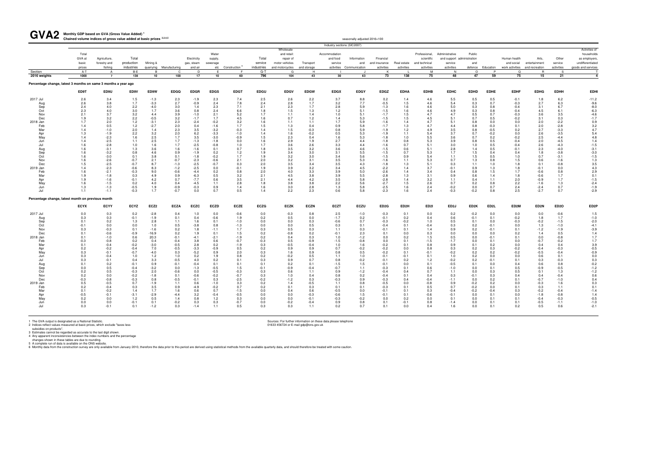**Monthly GDP based on GVA (Gross Value Added) <sup>1</sup>** GVA2 Monthly GDP based on GVA (Gross Value Added)<sup>1</sup><br>Chained volume indices of gross value added at basic prices <sup>2,3,4,5</sup>

| <b>UILL</b>                                                    | Chained volume indices of gross value added at basic prices 2,3,4,5 |                  |               |                  |                         |                  |                   |                                           |             |                          |               |                           | seasonally adjusted 2016=100              |                   |                          |                             |                                              |                   |                         |                                                    |                         |                      |                                           |
|----------------------------------------------------------------|---------------------------------------------------------------------|------------------|---------------|------------------|-------------------------|------------------|-------------------|-------------------------------------------|-------------|--------------------------|---------------|---------------------------|-------------------------------------------|-------------------|--------------------------|-----------------------------|----------------------------------------------|-------------------|-------------------------|----------------------------------------------------|-------------------------|----------------------|-------------------------------------------|
|                                                                |                                                                     |                  |               |                  |                         |                  |                   |                                           |             |                          |               |                           | Industry sections (SIC2007)               |                   |                          |                             |                                              |                   |                         |                                                    |                         |                      |                                           |
|                                                                | Total                                                               |                  |               |                  |                         |                  |                   |                                           |             | Wholesale                |               |                           |                                           |                   |                          |                             |                                              |                   |                         |                                                    |                         |                      | Activities of                             |
|                                                                | GVA at                                                              | Agriculture,     | Total         |                  |                         | Electricity      | Water<br>supply,  |                                           | Total       | and retail:<br>repair of |               | Accommodation<br>and food | Information                               | Financial         |                          | Professional,<br>scientific | Administrative<br>and support administration | Public            |                         | Human health                                       | Arts,                   | Other                | households<br>as employers,               |
|                                                                | basic                                                               | forestry and     | production    | Mining &         |                         | gas, steam       | sewerage          |                                           | service     | motor vehicles           | Transport     | service                   | and                                       | and insurance     | Real estate              | and technical               | service                                      | and               |                         | and social                                         | entertainment           | service              | undifferentiated                          |
|                                                                | prices                                                              | fishing          | industries    |                  | quarrying Manufacturing | and air          |                   | etc Construction <sup>6</sup>             | industries  | and motorcycles          | and storage   |                           | activities Communication                  | activities        | activities               | activities                  | activities                                   |                   | defence Education       | work activities                                    | and recreation          | activities           | goods and services                        |
| Section                                                        | A-T                                                                 | $\mathsf{A}$     | B-E           | $\overline{B}$   | C                       | D                | E                 | -F                                        | $G-T$       | G                        | H             |                           | ا.                                        | к                 |                          | M                           | N                                            | $\circ$           | P                       | $\Omega$                                           |                         | - S                  |                                           |
| 2016 weights                                                   | 1000                                                                | $\overline{7}$   | 138           | 10               | 100                     | 17               | 10                | 60                                        | 796         | 104                      | 43            | 30                        | 63                                        | 73                | 138                      | 75                          | 48                                           | 47                | 59                      | 75                                                 | 15                      | 21                   | $\overline{\mathbf{4}}$                   |
| Percentage change, latest 3 months on same 3 months a year ago |                                                                     |                  |               |                  |                         |                  |                   |                                           |             |                          |               |                           |                                           |                   |                          |                             |                                              |                   |                         |                                                    |                         |                      |                                           |
|                                                                | ED9T                                                                | ED9U             | ED9V          | ED9W             | <b>EDGQ</b>             | <b>EDGR</b>      | <b>EDGS</b>       | <b>EDGT</b>                               | EDGU        | <b>EDGV</b>              | <b>EDGW</b>   | <b>EDGX</b>               | <b>EDGY</b>                               | <b>EDGZ</b>       | <b>EDHA</b>              | <b>EDHB</b>                 | <b>EDHC</b>                                  | <b>EDHD</b>       | <b>EDHE</b>             | <b>EDHF</b>                                        | <b>EDHG</b>             | <b>EDHH</b>          | <b>EDHI</b>                               |
| 2017 Jul                                                       | 2.6                                                                 | 3.4              | 1.5           | $-1.3$           | 2.3                     | $-1.9$           | 2.3               | 7.4                                       | 2.5         | 2.6                      | 2.2           | 3.7                       | 8.8                                       | 0.2               | 1.4                      | 4.6                         | 5.5                                          | 0.5               | 0.5                     | $-0.1$                                             | 1.8                     | 6.2                  | $-11.2$                                   |
| Aug                                                            | 2.6                                                                 | 3.8              | 1.7           | $-3.3$           | 2.7                     | $-0.9$           | 2.4               | 7.8                                       | 2.4         | 2.8                      | 1.7           | 3.2                       | 7.7                                       | $-0.5$            | 1.5                      | 4.6                         | 5.4                                          | 0.3               | 0.7                     | $-0.3$                                             | 2.7                     | 6.3                  | $-9.6$                                    |
| Sep                                                            | 2.4                                                                 | 4.0              | 2.2           | $-4.0$           | 3.0                     | 1.4              | $^{2.3}_{2.4}$    | 7.1                                       | 2.1         | 2.3                      | 1.7           | 2.8                       | 5.9                                       | $-1.3$            | 1.6                      | 4.6                         | 5.0                                          | 0.3               | $0.8\,$                 | $-0.4$                                             | 3.1                     | 6.7                  | $-8.0$                                    |
| Oct<br>Nov                                                     | 2.3<br>2.1                                                          | 4.0<br>3.7       | 3.0<br>3.2    | 1.7<br>4.4       | 3.6                     | 0.8<br>$-1.0$    |                   | $6.6$<br>$5.2$<br>$4.5$<br>$3.2$<br>$1.7$ | 1.8<br>1.7  | 1.5<br>1.1               | 1.3<br>1.4    | 1.2<br>$1.0$              | 5.1<br>5.1                                | $-1.5$<br>$-1.7$  | 1.6                      | 4.6<br>4.7                  | 4.9<br>4.7                                   | 0.3<br>0.5        | 0.8<br>0.7              | $-0.4$                                             | 4.5<br>3.6              | 6.1                  | $-6.3$<br>$-4.6$<br>$-1.7$<br>0.9         |
| Dec                                                            | 1.9                                                                 | 3.2              |               | $-0.5$           | $3.9$<br>$3.2$<br>$2.3$ | $-1.7$           | $\frac{2.1}{1.7}$ |                                           | 1.6         | 0.7                      | 1.2           | 1.4                       |                                           | $-1.5$            | $\frac{1.5}{1.5}$<br>1.4 |                             | 5.1                                          | 0.7               | 0.5                     | $\begin{array}{c} -0.3 \\ -0.2 \\ 0.0 \end{array}$ | 3.1                     | $3.5$<br>0.3<br>-2.2 |                                           |
| 2018 Jan                                                       | 1.7                                                                 | 2.0              | $2.2$<br>1.2  | $-3.1$           |                         | $-2.4$           | $-0.2$            |                                           | 1.6         | 1.1                      | 1.1           | 1.7                       | $\frac{5.3}{5.9}$                         | $-1.6$            |                          | $\frac{4.5}{4.7}$           | 5.1                                          | 0.8               | 0.0                     |                                                    | 2.0                     |                      |                                           |
| Feb                                                            | 1.4                                                                 | 0.5              | 1.2           | $-2.7$           | $2.0\,$                 | 0.4              | $-1.6$            |                                           | 1.5         | 1.3                      | 0.4           | 0.9                       | 5.8                                       | $-1.7$            | 1.3                      | 4.7                         | 4.4                                          | 0.8               | $-0.3$                  | 0.1                                                | 2.0                     | $-2.8$               | $\frac{3.2}{4.7}$                         |
| Mar                                                            | 1.4                                                                 | $-1.0$           | 2.0           | 1.4              | 2.3                     | 3.5              | $-3.2$            | $-0.3$                                    | 1.4         | 1.5                      | $-0.3$        | 0.8                       | 5.9                                       | $-1.9$            | 1.2                      | 4.9                         | 3.5                                          | $0.8\,$           | $-0.5$                  | 0.2                                                | 2.7                     | $-3.3$               |                                           |
| Apr                                                            | 1.3                                                                 | $-1.9$           | 2.2           | 3.2              | $2.0$<br>1.7            | $6.2$<br>$3.5$   | $-3.3$            | $-1.0$                                    | 1.4         | 1.6                      | $-0.2$        | 0.5                       | 5.3                                       | $-1.9$            | 1.1                      | 5.4                         | 3.7                                          | 0.7               | $-0.2$                  | $0.0\,$                                            | 2.6                     | $-3.5$<br>$-4.4$     | $\frac{5.4}{4.8}$                         |
| May                                                            | 1.4                                                                 | $-2.3$           | 1.6           | 2.5              |                         |                  | $-3.0$            | $-0.9$                                    | 1.5         | 2.3                      | 0.4<br>1.9    | 1.6                       | 5.3<br>4.4                                | $-1.8$            | 1.0                      | 5.5                         | 3.6                                          | 0.7<br>0.8        | 0.2                     | $-0.2$                                             | 2.5                     |                      |                                           |
| Jun<br>Jul                                                     | 1.4<br>1.6                                                          | $-2.5$<br>$-2.8$ | 1.1<br>1.0    | 2.5<br>1.6       | 1.7<br>1.7              | $-1.3$<br>$-2.5$ | $-1.8$<br>$-0.8$  | $0.0$<br>$1.0$<br>$0.7$                   | 1.6<br>1.7  | 2.9<br>3.6               | 2.6           | 2.7<br>3.3                | 4.4                                       | $-1.8$<br>$-1.6$  | 0.8<br>0.7               | 5.3<br>5.1                  | 3.9<br>3.0                                   | 1.0               | $0.5$<br>$0.5$<br>$0.5$ | $-0.4$<br>$-0.4$                                   | $2.0$<br>$2.6$<br>$2.3$ | $-4.5$<br>$-4.3$     | $1.4$<br>$-1.5$<br>$-3.1$<br>$-3.0$       |
| Aug                                                            | 1.6                                                                 | $-3.1$           | 1.3           | 3.6              | 1.6                     | $-1.6$           | 0.1               |                                           | 1.8         | $3.5\,$                  | 3.2           | 3.6                       |                                           | $-1.5$            | 0.6                      | 5.1                         | 2.8                                          | 1.4               |                         | $-0.1$                                             |                         | $-4.0$               |                                           |
| Sep                                                            | 1.6                                                                 | $-3.2$           | 0.8           | 4.6              | 0.9                     | $-1.9$           | 0.2               | 1.2                                       | 1.9         | 3.4                      | 3.0           | 3.1                       | $\begin{array}{c} 4.6 \\ 5.5 \end{array}$ | $-1.5$            | 0.7                      | 5.3                         | 1.7                                          | 1.5               | 0.4                     | 0.4                                                | 1.8                     | $-3.8$               |                                           |
| Oct                                                            | 1.6                                                                 | $-3.0$           | 0.1           | 3.8              | 0.1                     | $-1.8$           | $-0.2$            | 1.7                                       | 1.9         | 3.2                      | 3.0           | 3.4                       | 5.6                                       | $-1.5$            | 0.9                      | 5.4                         | 1.1                                          | 1.5               | 0.5                     | 1.0                                                | 0.7                     | $-3.1$               | $1.5$<br>$1.3$<br>$3.5$<br>$4.3$<br>$2.9$ |
| Nov                                                            | 1.6                                                                 | $-2.6$           | $-0.7$        | 2.1              | $-0.7$                  | $-2.3$           | $-0.6$            | 2.1                                       | 2.0         | $\frac{3.2}{3.5}$        | 3.1           | 3.5                       | 5.3                                       | $-1.6$            | 1.1                      | 5.3                         | 0.7                                          | 1.3               | 0.8                     | 1.5                                                | 0.6                     | $-1.6$               |                                           |
| Dec                                                            | 1.5                                                                 | $-2.5$           | $-0.7$        | 8.7              | $-1.3$                  | $-2.5$           | $-0.7$            | 0.3                                       | 2.0         |                          | 3.4           | 3.5                       | 4.3                                       | $-1.8$            | 1.3                      | 5.1                         | 0.3                                          | 1.1               | 1.0                     | 1.8                                                | 0.1                     | $-0.8$               |                                           |
| 2019 Jan                                                       | 1.4                                                                 | $-2.3$           | $-0.6$        | 8.3              | $-1.2$                  | $-2.5$           | 0.0               | $-0.1$                                    | 1.9         | 3.9                      | 3.2           | 3.4                       | 4.5                                       | $-2.2$            | 1.4                      | 3.7                         | $-0.1$                                       | 0.9               | 1.3                     | 1.8                                                | $-0.1$                  | 0.0                  |                                           |
| Feb<br>Mar                                                     | 1.6                                                                 | $-2.1$<br>$-1.8$ | $-0.3$        | 9.0              | $-0.6$                  | $-4.4$           | 0.2               | 0.8                                       | 2.0         | 4.0                      | 3.3           | 3.9                       | $5.0$<br>$5.5$<br>$5.8$<br>$5.6$          | $-2.6$            | 1.4                      | 3.4                         | 0.4                                          | 0.8               | 1.5                     | 1.7                                                | $-0.6$                  | $0.8\,$              |                                           |
| Apr                                                            | 1.9<br>1.9                                                          | $-1.6$           | 0.3<br>$-0.1$ | 4.9<br>4.2       | 0.9<br>0.7              | $-6.3$<br>$-7.7$ | 0.5<br>0.6        | $3.2$<br>$3.5$<br>$2.8$                   | 2.1<br>2.1  | $4.5\,$<br>4.4           | 3.8<br>4.2    | 3.9<br>3.5                |                                           | $-2.8$<br>$-2.8$  | 1.3<br>1.4               | 3.1<br>3.2                  | 0.9<br>1.1                                   | 0.6<br>0.4        | 1.4<br>1.1              | 1.8<br>2.0                                         | $-0.6$<br>$-0.9$        | 1.7<br>1.7           | 0.1                                       |
| May                                                            | 1.6                                                                 | $-1.5$           | 0.2           | 4.0              | 0.4                     | $-4.5$           | 1.1               |                                           | 1.8         | 3.8                      | 3.8           | 2.2                       |                                           | $-2.7$            | 1.5                      | 2.6                         | 0.7                                          | 0.2               | 0.8                     | 2.2                                                | $-1.6$                  | 1.3                  | $-1.5$<br>$-2.4$                          |
| Jun                                                            | 1.3                                                                 | $-1.3$           | $-0.5$        | 1.9              | $-0.9$                  | $-0.3$           | 0.9               | 1.4                                       | 1.6         | 3.0                      | 2.8           | 1.3                       | 5.8                                       | $-2.5$            | 1.6                      | 2.4                         | $-0.2$                                       | 0.0               | 0.7                     | 2.4                                                | $-2.4$                  | 0.7                  | $-1.9$                                    |
| Jul                                                            | 1.1                                                                 | $-1.1$           | $-0.3$        | 1.7              | $-0.7$                  | 0.0              | 0.7               | 0.5                                       | 1.4         | 2.2                      | 2.3           | 0.6                       | 5.8                                       | $-2.3$            | 1.6                      | 2.4                         | $-0.3$                                       | $-0.2$            | 0.8                     | 2.5                                                | $-2.7$                  | 0.7                  | $-2.9$                                    |
| Percentage change, latest month on previous month              |                                                                     |                  |               |                  |                         |                  |                   |                                           |             |                          |               |                           |                                           |                   |                          |                             |                                              |                   |                         |                                                    |                         |                      |                                           |
|                                                                | <b>ECYX</b>                                                         | <b>ECYY</b>      | <b>ECYZ</b>   | ECZ <sub>2</sub> | <b>ECZA</b>             | <b>ECZC</b>      | <b>ECZD</b>       | <b>ECZE</b>                               | <b>ECZG</b> | <b>ECZK</b>              | <b>ECZN</b>   | <b>ECZT</b>               | ECZU                                      | ED <sub>2</sub> G | ED <sub>2</sub> H        | ED <sub>21</sub>            | ED <sub>2</sub> J                            | ED <sub>2</sub> K | ED <sub>2</sub> L       | ED <sub>2M</sub>                                   | ED <sub>2N</sub>        | ED <sub>20</sub>     | ED <sub>2</sub> P                         |
| 2017 Jul                                                       | 0.0                                                                 | 0.3              | 0.2           | $-2.8$           | 0.4                     | 1.0              | 0.0               | $-0.6$                                    | 0.0         | $-0.3$                   | 0.8           | 2.5                       | $-1.0$                                    | $-0.3$            | 0.1                      | 0.0                         | 0.2                                          | $-0.2$            | 0.0                     | 0.0                                                | 0.0                     | $-0.6$               | $1.5\,$                                   |
| Aug                                                            | 0.3                                                                 | 0.3              | $-0.1$        | $-1.9$           | 0.1                     | 0.4              | $-0.6$            | 1.9                                       | 0.2         | 0.5                      | 0.0           | $-1.7$                    | 0.2                                       | $-0.1$            | 0.2                      | 0.4                         | 0.6                                          | $-0.1$            | 0.1                     | $-0.2$                                             | 1.8                     | 1.7                  | $-1.0$                                    |
| Sep<br>Oct                                                     | 0.1                                                                 | 0.2              | 1.3           | 2.8              | 1.1                     | 1.6              | 0.1               | $-1.0$                                    | 0.0         | 0.0                      | 0.3           | $-0.6$                    | 0.7<br>0.1                                | $-0.3$            | $-0.2$                   | 1.0                         | 0.5                                          | 0.1               | 0.0                     | $-0.3$                                             | $-0.2$<br>1.3           | $-1.5$               |                                           |
| Nov                                                            | $-0.1$<br>0.3                                                       | 0.0<br>$-0.3$    | 0.0<br>0.1    | 1.0<br>$-1.6$    | 0.5<br>0.2              | $-3.8$<br>1.8    | 0.8<br>$-1.1$     | $-1.3$<br>1.7                             | 0.0<br>0.3  | 0.0<br>0.5               | 0.5<br>0.3    | 0.3<br>1.1                | 0.3                                       | $-0.4$<br>$-0.1$  | 0.1<br>0.1               | $-0.4$<br>1.4               | 0.3<br>0.9                                   | 0.2<br>0.2        | $-0.1$<br>$-0.1$        | 0.0<br>0.1                                         | $-1.2$                  | $-1.0$<br>$-1.9$     | $-2.0$<br>$-4.1$<br>$-3.9$                |
| Dec                                                            | 0.1                                                                 | $-0.6$           | $-0.9$        | $-16.9$          | 0.2                     | 1.9              | 0.1               | 1.5                                       | 0.2         | $-0.8$                   | 0.2           | $-0.1$                    | 2.3                                       | 0.1               | 0.0                      | 0.3                         | 0.0                                          | 0.0               | 0.0                     | 0.2                                                | 1.4                     | 0.5                  | 1.4                                       |
| 2018 Jan                                                       | 0.1                                                                 | $-1.0$           | 0.6           | 20.3             | $-0.1$                  | $-4.1$           | $-2.1$            | $-1.9$                                    | 0.2         | 0.4                      | 0.3           | 1.0                       | $-1.2$                                    | 0.0               | 0.2                      | 1.5                         | 0.5                                          | 0.0               | $-0.1$                  | 0.1                                                | 0.0                     | $-0.8$               | 1.7                                       |
| Feb                                                            | $-0.3$                                                              | $-0.8$           | 0.2           | 0.4              | $-0.4$                  | 3.8              | 0.6               | $-0.7$                                    | $-0.3$      | 0.5                      | $-0.9$        | $-1.5$                    | $0.8 -$                                   | 0.0               | 0.1                      | $-1.5$                      | $-1.7$                                       | 0.0               | 0.1                     | 0.0                                                | $-0.7$                  | $-0.2$               | 1.7                                       |
| Mar                                                            | 0.1                                                                 | $-0.4$           | $-0.2$        | $-3.0$           | $-0.5$                  | 2.8              | 0.2               | $-1.9$                                    | 0.3         | $-0.5$                   | $-0.4$        | 1.0                       | 1.6                                       | $-0.2$            | 0.1                      | 0.8                         | 0.9                                          | 0.1               | 0.2                     | 0.0                                                | 0.4                     | 0.4                  | $\frac{3.9}{0.5}$                         |
| Apr                                                            | 0.2                                                                 | $-0.2$           | $-0.4$        | 7.0              | $-0.5$                  | $-3.3$           | $-0.9$            | 0.5                                       | 0.2         | 0.9                      | 0.9           | 0.7                       | $-0.2$                                    | $-0.2$            | 0.0                      | 0.8                         | 0.3                                          | 0.2               | 0.3                     | $-0.2$                                             | $-0.4$                  | $-0.3$               |                                           |
| May                                                            | $0.3\,$                                                             | $-0.1$           | $-0.7$        | $-4.0$           | 0.3                     | $-5.2$           | 0.9               | 2.0                                       | 0.3         | 1.6                      | 0.9           | 0.8                       | 0.5                                       | $-0.2$            | 0.1                      | $-0.1$                      | $-0.2$                                       | 0.2               | 0.2                     | $-0.2$                                             | $-0.5$                  | $-0.4$               | $-0.9$                                    |
| Jun                                                            | 0.3                                                                 | $-0.4$           | 1.0           | 1.2              | 1.0                     | 0.2              | 1.9               | 0.8                                       | 0.2         | $-0.2$                   | 0.5           | 1.1                       | 1.0                                       | $-0.1$            | $-0.1$                   | 0.1                         | 1.0                                          | 0.2               | 0.0                     | 0.0                                                | 0.6                     | 0.1                  | 0.0                                       |
| Jul                                                            | 0.3                                                                 | $-0.1$           | 0.4<br>$-0.1$ | 3.3<br>0.9       | $-0.5$<br>$-0.1$        | 4.0<br>$-0.4$    | 0.2<br>0.1        | 0.1<br>0.1                                | 0.3<br>0.1  | 0.9<br>0.2               | 0.7<br>0.1    | 0.8<br>$-1.5$             | $-0.2$<br>1.5                             | $-0.1$<br>$-0.1$  | 0.2<br>0.0               | 1.2<br>0.1                  | $-0.2$<br>$-0.5$                             | 0.2<br>0.1        | $-0.1$<br>0.0           | 0.1<br>0.4                                         | 0.3<br>0.6              | $-0.3$<br>0.8        | 0.3                                       |
| Aug<br>Sep                                                     | $\begin{array}{c} 0.1 \\ 0.0 \end{array}$                           | 0.2<br>0.5       | $-0.4$        | $-3.2$           | 0.0                     | $-1.3$           | $-0.5$            | 1.5                                       | $-0.1$      | $-0.9$                   | $-0.4$        | $-0.7$                    | 1.1                                       | $-0.3$            | 0.1                      | 0.6                         | $-1.0$                                       | 0.0               | 0.1                     | 0.5                                                | $-0.9$                  | $-0.5$               | $-0.2$<br>$-1.2$<br>$-1.2$<br>0.6         |
| Oct                                                            | $0.2\,$                                                             | 0.5              | $-0.3$        | 2.0              | $-0.6$                  | 0.0              | $-0.5$            | $-0.3$                                    | 0.3         | 0.6                      | 1.1           | 0.9                       | $-1.2$                                    | $-0.4$            | 0.4                      | 0.7                         | 1.1                                          | 0.0               | 0.3                     | 0.5                                                | 0.1                     | 1.3                  |                                           |
| Nov                                                            | 0.2                                                                 | 0.0              | $-0.2$        | $-1.8$           | 0.1                     | $-0.6$           | $-0.2$            | $-0.7$                                    | 0.3         | 1.0                      | 0.4           | 0.8                       | 0.2                                       | $-0.4$            | 0.1                      | 0.4                         | 0.3                                          | $-0.1$            | 0.3                     | 0.4                                                | 0.4                     | $-0.4$               |                                           |
| Dec                                                            | $-0.3$                                                              | $-0.8$           | $-0.3$        | 0.8              | $-0.5$                  | $-0.1$           | 0.3               | $-2.5$                                    | $-0.2$      | $-1.2$                   | 0.3           | $-0.3$                    | 0.9                                       | $-0.3$            | 0.4                      | $-0.4$                      | $-1.1$                                       | 0.0               | 0.2                     | 0.1                                                | $-0.7$                  | $-1.0$               | 0.4                                       |
| 2019 Jan                                                       | 0.5                                                                 | $-0.5$           | 0.7           | $-1.9$           | 1.1                     | 0.6              | $-1.0$            | 3.3                                       | 0.2         | 1.4                      | $-0.5$        | 1.1                       | 0.8                                       | $-0.5$            | 0.0                      | $-0.8$                      | 0.9                                          | $-0.2$            | 0.2                     | 0.0                                                | $-0.3$                  | 1.6                  | 0.3                                       |
| Feb                                                            | 0.2                                                                 | $-0.4$           | 0.3           | 3.5              | 0.9                     | $-4.9$           | $-0.2$            | 0.7                                       | 0.2         | 0.1                      | 0.3           | 0.1                       | 0.1                                       | $-0.3$            | 0.1                      | 0.5                         | 0.7                                          | $-0.2$            | 0.0                     | 0.1                                                | 0.3                     | 1.1                  | 0.1                                       |
| Mar                                                            | 0.1                                                                 | $-0.2$           | 1.4           | 1.7              | 1.6                     | 0.6              | 0.7               | $-1.5$                                    | 0.0         | 0.4                      | 0.6           | $-0.5$                    | 0.0                                       | $-0.1$            | 0.1                      | 0.3                         | $-0.4$                                       | $-0.2$            | $-0.4$                  | 0.3                                                | $-0.2$                  | $-0.4$               | $-1.4$                                    |
| Apr                                                            | $-0.5$                                                              | $-0.1$           | $-3.1$        | $-2.9$           | $-4.4$                  | 3.2              | $-0.4$            | $-0.5$<br>$0.3$                           | 0.0         | 0.0                      | $-0.3$        | $-0.6$                    | 1.5                                       | $-0.1$            | 0.1                      | $-0.6$                      | $-0.1$                                       | 0.0               | 0.1                     | 0.0                                                | $-1.8$                  | $-0.8$               | $1.4 - 0.5$                               |
| May                                                            | 0.2                                                                 | 0.0              | 1.2           | 0.5              | 1.4                     | 0.8              | 1.2               |                                           | 0.0         | 0.0                      | $-0.1$        | $-0.3$                    | $-0.2$                                    | 0.0               | 0.2                      | 0.0                         | 0.1                                          | 0.0               | 0.1                     | 0.1                                                | $-0.4$                  | $-0.3$               |                                           |
| Jun<br>Jul                                                     | 0.0<br>0.3                                                          | 0.0<br>$-0.1$    | $-0.1$<br>0.1 | 0.1<br>$-1.2$    | $-0.2$<br>0.3           | 0.3<br>$-1.4$    | 0.3<br>1.1        | $-0.7$<br>0.5                             | 0.0<br>0.3  | $-0.2$<br>0.3            | $-0.4$<br>1.1 | 0.9<br>0.2                | $0.8\,$<br>0.7                            | 0.1<br>0.1        | $-0.1$<br>0.0            | 0.8<br>0.4                  | $-1.4$<br>1.6                                | 0.0<br>0.0        | 0.1<br>0.1              | 0.1<br>0.2                                         | $-0.5$<br>0.5           | $-1.1$<br>0.6        | $-1.0$<br>$-2.1$                          |
|                                                                |                                                                     |                  |               |                  |                         |                  |                   |                                           |             |                          |               |                           |                                           |                   |                          |                             |                                              |                   |                         |                                                    |                         |                      |                                           |
|                                                                |                                                                     |                  |               |                  |                         |                  |                   |                                           |             |                          |               |                           |                                           |                   |                          |                             |                                              |                   |                         |                                                    |                         |                      |                                           |

1 The GVA output is designated as a National Statistic.<br>2 Indices reflect values measured at basic prices, which exclude "taxes less<br>3 Sources: For further information on these data please telephone<br>3 Statistics connot be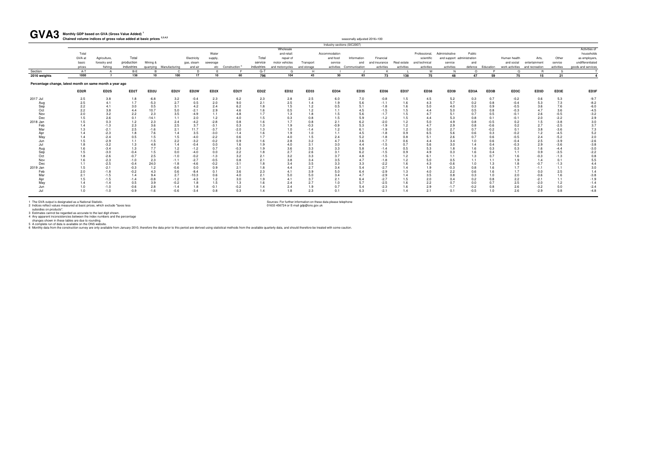seasonally adjusted 2016=100

1 The GVA output is designated as a National Statistic.<br>2 Indices reflect values measured at basic prices, which exclude "taxes less<br>3 istimates cannot be regarded as accurate to the last digit shown.<br>4 Any apparent incons

#### **Monthly GDP based on GVA (Gross Value Added) <sup>1</sup>** GVA3 Monthly GDP based on GVA (Gross Value Added)<sup>1</sup><br>Chained volume indices of gross value added at basic prices <sup>2,3,4,5</sup>

|                                                          |                  |                  |            |                  |                         |                   |                   |                               |                   |                 |             |               | Industry sections (SIC2007) |                  |             |               |                            |            |            |                  |                                |                  |                    |
|----------------------------------------------------------|------------------|------------------|------------|------------------|-------------------------|-------------------|-------------------|-------------------------------|-------------------|-----------------|-------------|---------------|-----------------------------|------------------|-------------|---------------|----------------------------|------------|------------|------------------|--------------------------------|------------------|--------------------|
|                                                          |                  |                  |            |                  |                         |                   |                   |                               |                   | Wholesale       |             |               |                             |                  |             |               |                            |            |            |                  |                                |                  | Activities of      |
|                                                          | Total            |                  |            |                  |                         |                   | Water             |                               |                   | and retail:     |             | Accommodation |                             |                  |             | Professional. | Administrative             | Public     |            |                  |                                |                  | households         |
|                                                          | GVA at           | Agriculture.     | Total      |                  |                         | Electricity       | supply,           |                               | Total             | repair of       |             | and food      | Information                 | Financial        |             | scientific    | and support administration |            |            | Human health     | Arts.                          | Other            | as employers       |
|                                                          | basic            | forestry and     | production | Minina &         |                         | gas, steam        | sewerage          |                               | service           | motor vehicles  | Transport   | service       | and                         | and insurance    | Real estate | and technical | service                    | and        |            | and social       | entertainment                  | service          | undifferentiated   |
|                                                          | prices           | fishing          | industries |                  | quarrying Manufacturing | and air           |                   | etc Construction <sup>6</sup> | industries        | and motorcycles | and storage |               | activities Communication    | activities       | activities  | activities    | activities                 | defence    | Education  |                  | work activities and recreation | activities       | goods and services |
| Section                                                  | $A-T$            |                  | $B-E$      |                  | $\cap$                  | D                 |                   |                               | $G-T$             | G               | H           |               |                             |                  |             | M             |                            | $\Omega$   |            | $\Omega$         |                                |                  |                    |
| 2016 weights                                             | 1000             | $\overline{7}$   | 138        | 10               | 100                     | 17                | 10                | 60                            | 796               | 104             | 43          | 30            | 63                          | 73               | 138         | 75            | 48                         | 47         | 59         | 75               | 15                             | 21               |                    |
| Percentage change, latest month on same month a year ago |                  |                  |            |                  |                         |                   |                   |                               |                   |                 |             |               |                             |                  |             |               |                            |            |            |                  |                                |                  |                    |
|                                                          | ED <sub>2R</sub> | ED2S             | ED2T       | ED <sub>2U</sub> | ED <sub>2V</sub>        | ED <sub>2</sub> W | ED <sub>2</sub> X | ED <sub>2</sub> Y             | ED <sub>2</sub> Z | <b>ED32</b>     | <b>ED33</b> | <b>ED34</b>   | <b>ED35</b>                 | <b>ED36</b>      | <b>ED37</b> | <b>ED38</b>   | <b>ED39</b>                | ED3A       | ED3B       | ED3C             | ED3D                           | ED3E             | ED3F               |
| 2017 Jul                                                 | 2.5              | 3.8              | 1.8        | $-6.8$           | 3.2                     | $-0.4$            | 2.3               | 6.2                           | 2.3               | 2.8             | 2.5         | 6.0           | 7.0                         | $-0.8$           | 1.5         | 4.5           | 5.2                        | 0.3        | 0.7        | $-0.2$           | 0.6                            | 5.3              | $-9.7$             |
| Aug                                                      | 2.5              | 4.1              | 1.7        | $-5.3$           | 2.7                     | 0.5               | 2.0               | 9.0                           | 2.1               | 2.5             | 1.4         | 1.9           | 5.6                         | $-1.1$           | 1.6         | 4.3           | 5.7                        | 0.2        | 0.8        | $-0.4$           | 5.3                            | 7.3              | $-8.2$             |
| Sep                                                      | 2.2              | 4.1              | 3.0        | 0.5              | 3.1                     | 4.2               | 2.4               | 6.2                           | 1.8               | 1.5             | 1.2         | 0.5           | 5.1                         | $-1.8$           | 1.6         | 5.0           | 4.0                        | 0.3        | 0.9        | $-0.5$           | 3.6                            | 7.6              | $-6.0$             |
| Oct                                                      | 2.2              | 3.8              | 4.4        | 10.7             | 5.0                     | $-2.1$            | 2.9               | 4.6                           | 1.6               | 0.5             | 1.2         | 1.1           | 4.5                         | $-1.5$           | 1.5         | 4.4           | 5.0                        | 0.5        | 0.8        | $-0.3$           | 4.7                            | 3.6              | $-4.5$             |
| Nov                                                      | 2.0              | 3.2              | 2.2        | 2.3              | 3.5                     | $-4.9$            | 1.1               | 4.8                           | 1.7               | 1.3             | 1.8         | 1.5           | 5.6                         | $-1.7$           | 1.5         | 4.7           | 5.1                        | 0.7        | 0.5        | $-0.1$           | 2.6                            | $-0.5$           | $-3.2$             |
| Dec                                                      | 1.5              | 2.6              | 0.1        | $-14.1$          | 1.1                     | 2.0               | 1.2               | 4.0                           | 1.5               | 0.3             | 0.8         | 1.5           | 5.9                         | $-1.2$           | 1.5         | 4.4           | 5.3                        | 0.8        | 0.1        | $-0.1$           | 2.0                            | $-2.2$           | 2.9                |
| 2018 Jan                                                 | 1.5              | 0.3              | 1.2        | 2.3              | 2.4                     | $-4.2$            | $-2.8$            | 0.8                           | 1.6               | 1.7             | 0.8         | 2.1           | 6.2                         | $-2.0$           | 1.2         | 5.0           | 4.9                        | 0.8        | $-0.5$     | 0.2              | 1.5                            | $-3.8$           | 3.0                |
| Feb                                                      | 1.4              | $-1.3$           | 2.3        | 3.6              | 2.5                     | 3.7               | $-3.1$            | 0.3                           | 1.3               | 1.9             | $-0.3$      | $-0.9$        | 5.3                         | $-1.9$           | 1.2         | 4.7           | 2.9                        | 0.8        | $-0.6$     | 0.2              | 2.7                            | $-2.5$           | 3.7                |
| Mar                                                      | 1.3              | $-2.1$           | 2.5        | $-1.6$           | 2.1                     | 11.7              | $-3.7$            | $-2.0$                        | 1.3               | 1.0             | $-1.4$      | 1.2           | 6.1                         | $-1.9$           | 1.2         | 5.0           | 2.7                        | 0.7        | $-0.2$     | 0.1              | 3.8                            | $-3.6$           | 7.3                |
| Apr                                                      | 1.4              | $-2.3$           | 1.8        | 7.6              | 1.4                     | 3.5               | $-3.0$            | $-1.4$                        | 1.6               | 1.9             | 1.0         | 1.1           | 4.5                         | $-1.8$           | 0.9         | 6.5           | 5.6                        | 0.6        | 0.3        | $-0.2$           | 1.2                            | $-4.5$           | 5.2                |
| May                                                      | 1.5              | $-2.4$           | 0.5        | 1.5<br>$-1.5$    | 1.5                     | $-4.0$            | $-2.2$            | 0.6                           | 1.7               | 4.0<br>2.8      | 1.5<br>3.2  | 2.4<br>4.7    | 5.2                         | $-1.8$           | 0.8         | 5.1<br>4.4    | 2.6<br>3.4                 | 0.7        | 0.6        | $-0.5$<br>$-0.4$ | 2.4<br>2.5                     | $-5.2$           | 2.0<br>$-2.6$      |
|                                                          | 1.8              | $-2.9$<br>$-3.2$ | 1.1<br>1.3 | 4.8              | 2.2<br>1.4              | $-3.2$<br>$-0.4$  | $-0.2$<br>0.0     | 0.9<br>1.6                    | 1.6<br>1.9        | 4.0             | 3.1         | 3.0           | 3.6<br>4.4                  | $-1.7$<br>$-1.5$ | 0.6<br>0.7  | 5.6           | 3.0                        | 1.0<br>1.4 | 0.6<br>0.4 | $-0.3$           | 2.9                            | $-3.9$<br>$-3.6$ | $-3.8$             |
| Aug                                                      | 1.6              | $-3.4$           | 1.3        | 7.7              | 1.2                     | $-1.2$            | 0.7               | $-0.3$                        | 1.9               | 3.6             | 3.3         | 3.3           | 5.8                         | $-1.4$           | 0.5         | 5.3           | 1.8                        | 1.6        | 0.3        | 0.3              | 1.6                            | $-4.4$           | $-3.0$             |
| Sep                                                      | 1.5              | $-3.0$           | $-0.4$     | 1.5              | 0.0                     | $-4.0$            | 0.0               | 2.2                           | 1.8               | 2.7             | 2.6         | 3.1           | 6.2                         | $-1.5$           | 0.9         | 4.9           | 0.3                        | 1.6        | 0.4        | 1.1              | 0.9                            | $-3.5$           | $-2.2$             |
| Oct                                                      | 1.8              | $-2.6$           | $-0.7$     | 2.5              | $-1.0$                  | $-0.2$            | $-1.3$            | 3.2                           | 2.1               | 3.2             | 3.3         | 3.7           | 4.8                         | $-1.5$           | 1.2         | 6.1           | 1.1                        | 1.3        | 0.7        | 1.6              | $-0.3$                         | $-1.3$           | 0.8                |
| Nov                                                      | 1.6              | $-2.3$           | $-1.0$     | 2.3              | $-1.1$                  | $-2.7$            | $-0.5$            | 0.8                           | 2.1               | 3.8             | 3.4         | 3.5           | 4.7                         | $-1.8$           | 1.2         | 5.0           | 0.5                        | 1.1        | 1.1        | 1.9              | 1.4                            | 0.1              | 5.5                |
| Dec                                                      | 11               | $-2.5$           | $-0.4$     | 24.0             | $-1.8$                  | $-4.6$            | $-0.2$            | $-3.1$                        | 1.8               | 3.4             | 3.5         | 3.3           | 3.3                         | $-2.2$           | 1.6         | 4.3           | -0.6                       | 1.0        | 1.3        | 1.8              | $-0.7$                         | $-1.3$           | 4.4                |
| 2019 Jan                                                 | 1.5              | $-2.1$           | $-0.3$     | 1.2              | $-0.6$                  | 0.0               | 0.9               | 2.1                           | 1.8               | 4.4             | 2.7         | 3.4           | 5.4                         | $-2.7$           | 1.4         | 1.9           | $-0.3$                     | 0.8        | 1.6        | 1.7              | $-1.1$                         | 1.1              | 3.0                |
| Feb                                                      | 2.0              | $-1.8$           | $-0.2$     | 4.3              | 0.6                     | $-8.4$            | 0.1               | 3.6                           | 2.3               | 4.1             | 3.9         | 5.0           | 6.4                         | $-2.9$           | 1.3         | 4.0           | 2.2                        | 0.6        | 1.6        | 1.7              | 0.0                            | 2.5              | 1.4                |
| Mar                                                      | 2.1              | $-1.5$           | 1.4        | 9.4              | 2.7                     | $-10.3$           | 0.6               | 4.0                           | 2.1               | 5.0             | 5.0         | 3.4           | 4.7                         | $-2.9$           | 1.4         | 3.5           | 0.8                        | 0.3        | 1.0        | 2.0              | $-0.6$                         | 1.6              | $-3.8$             |
| Apr                                                      | 1.5              | $-1.5$           | $-1.4$     | $-0.8$           | $-1.2$                  | $-4.3$            | 1.2               | 3.0                           | 1.9               | 4.1             | 3.7         | 2.1           | 6.4                         | $-2.7$           | 1.5         | 2.0           | 0.4                        | 0.2        | 0.8        | 2.2              | $-2.1$                         | 1.1              | $-1.9$             |
| May                                                      | 1.4              | $-1.4$           | 0.5        | 3.9              | $-0.2$                  | 1.8               | 1.5               | 1.3                           | 1.6               | 2.4             | 2.7         | 1.0           | 5.7                         | $-2.5$           | 1.6         | 2.2           | 0.7                        | 0.0        | 0.7        | 2.5              | $-2.0$                         | 1.2              | $-1.4$             |
| Jun                                                      | 1.0<br>1.0       | $-1.0$           | $-0.6$     | 2.8<br>$-1.6$    | $-1.4$                  | 1.8<br>$-3.4$     | $-0.1$            | $-0.2$<br>0.3                 | 1.4               | 2.4             | 1.9         | 0.7<br>0.1    | 5.4                         | $-2.3$<br>$-2.1$ | 1.6         | 2.9<br>2.1    | $-1.7$<br>0.1              | $-0.2$     | 0.8<br>1.0 | 2.6              | $-3.2$<br>$-2.9$               | 0.0              | $-2.4$<br>$-4.8$   |
|                                                          |                  | $-1.0$           | -0.9       |                  | $-0.6$                  |                   | 0.8               |                               | 1.4               | 1.8             | 2.3         |               | 6.3                         |                  | 1.4         |               |                            | $-0.5$     |            | 2.6              |                                | 0.8              |                    |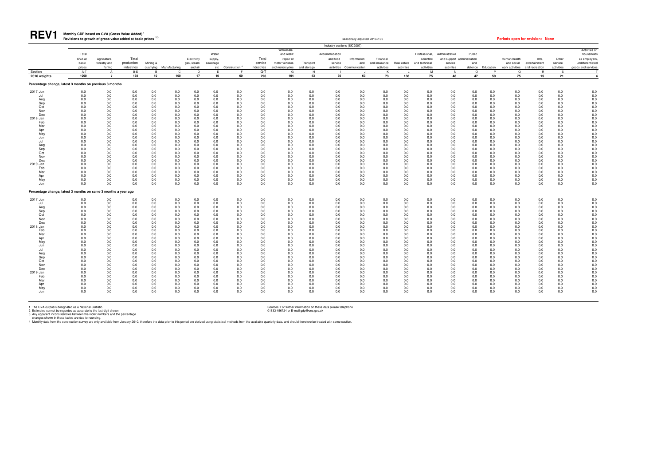

#### **Monthly GDP based on GVA (Gross Value Added) <sup>1</sup>** REV1 Monthly GDP based on GVA (Gross Value Added)<sup>1</sup> and the six prices <sup>2,3</sup> seasonally adjusted 2016=100 seasonally adjusted 2016=100 **Periods open for revision: None**

|                                                                                                                                                                               |                                                                                                                                                                      |                                                                                                                                                                      |                                                                                                                                                                      |                                                                                                                                                                      |                                                                                                                                                                                  |                                                                                                                                                                      |                                                                                                                                                                      |                                                                                                                                                                                      |                                                                                                                                                                      |                                                                                                                                                                      |                                                                                                                                                                      | Industry sections (SIC2007)                                                                                                                                          |                                                                                                                                                                      |                                                                                                                                                                      |                                                                                                                                                                              |                                                                                                                                                                              |                                                                                                                                                                              |                                                                                                                                                                      |                                                                                                                                                                      |                                                                                                                                                                      |                                                                                                                                                                                  |                                                                                                                                                                      |                                                                                                                                                                                                                              |
|-------------------------------------------------------------------------------------------------------------------------------------------------------------------------------|----------------------------------------------------------------------------------------------------------------------------------------------------------------------|----------------------------------------------------------------------------------------------------------------------------------------------------------------------|----------------------------------------------------------------------------------------------------------------------------------------------------------------------|----------------------------------------------------------------------------------------------------------------------------------------------------------------------|----------------------------------------------------------------------------------------------------------------------------------------------------------------------------------|----------------------------------------------------------------------------------------------------------------------------------------------------------------------|----------------------------------------------------------------------------------------------------------------------------------------------------------------------|--------------------------------------------------------------------------------------------------------------------------------------------------------------------------------------|----------------------------------------------------------------------------------------------------------------------------------------------------------------------|----------------------------------------------------------------------------------------------------------------------------------------------------------------------|----------------------------------------------------------------------------------------------------------------------------------------------------------------------|----------------------------------------------------------------------------------------------------------------------------------------------------------------------|----------------------------------------------------------------------------------------------------------------------------------------------------------------------|----------------------------------------------------------------------------------------------------------------------------------------------------------------------|------------------------------------------------------------------------------------------------------------------------------------------------------------------------------|------------------------------------------------------------------------------------------------------------------------------------------------------------------------------|------------------------------------------------------------------------------------------------------------------------------------------------------------------------------|----------------------------------------------------------------------------------------------------------------------------------------------------------------------|----------------------------------------------------------------------------------------------------------------------------------------------------------------------|----------------------------------------------------------------------------------------------------------------------------------------------------------------------|----------------------------------------------------------------------------------------------------------------------------------------------------------------------------------|----------------------------------------------------------------------------------------------------------------------------------------------------------------------|------------------------------------------------------------------------------------------------------------------------------------------------------------------------------------------------------------------------------|
|                                                                                                                                                                               | Total<br>GVA at<br>basic                                                                                                                                             | Agriculture,<br>forestry and                                                                                                                                         | Total<br>production                                                                                                                                                  | Mining &                                                                                                                                                             |                                                                                                                                                                                  | Electricity<br>gas, steam                                                                                                                                            | Water<br>supply,<br>sewerage                                                                                                                                         |                                                                                                                                                                                      | Total<br>service                                                                                                                                                     | Wholesale<br>and retail:<br>repair of<br>motor vehicles                                                                                                              | Transport                                                                                                                                                            | Accommodation<br>and food<br>service                                                                                                                                 | Information<br>and                                                                                                                                                   | Financial<br>and insurance                                                                                                                                           | Real estate                                                                                                                                                                  | Professional,<br>scientific<br>and technical                                                                                                                                 | Administrative<br>service                                                                                                                                                    | Public<br>and support administration<br>and                                                                                                                          |                                                                                                                                                                      | Human health<br>and social                                                                                                                                           | Arts,<br>entertainment                                                                                                                                                           | Other<br>service                                                                                                                                                     | Activities of<br>households<br>as employers,<br>undifferentiated                                                                                                                                                             |
|                                                                                                                                                                               | prices                                                                                                                                                               | fishing                                                                                                                                                              | industries                                                                                                                                                           |                                                                                                                                                                      | quarrying Manufacturing                                                                                                                                                          | and air                                                                                                                                                              |                                                                                                                                                                      | etc Construction <sup>4</sup>                                                                                                                                                        | industries                                                                                                                                                           | and motorcycles                                                                                                                                                      | and storage                                                                                                                                                          | activities                                                                                                                                                           | Communication                                                                                                                                                        | activities                                                                                                                                                           | activities                                                                                                                                                                   | activities                                                                                                                                                                   | activities                                                                                                                                                                   | defence                                                                                                                                                              | Education                                                                                                                                                            | work activities and recreation                                                                                                                                       |                                                                                                                                                                                  | activities                                                                                                                                                           | goods and services                                                                                                                                                                                                           |
| Section                                                                                                                                                                       | $A-T$<br>1000                                                                                                                                                        | $\overline{A}$                                                                                                                                                       | $B - E$<br>138                                                                                                                                                       | $\overline{B}$                                                                                                                                                       | $\mathbf{C}$<br>100                                                                                                                                                              | D<br>17                                                                                                                                                              | F.<br>10                                                                                                                                                             | F.                                                                                                                                                                                   | $G-T$                                                                                                                                                                | G<br>104                                                                                                                                                             | H<br>43                                                                                                                                                              |                                                                                                                                                                      |                                                                                                                                                                      | K                                                                                                                                                                    | 138                                                                                                                                                                          | M<br>75                                                                                                                                                                      | N                                                                                                                                                                            | $\Omega$<br>47                                                                                                                                                       | P<br>59                                                                                                                                                              | $\Omega$                                                                                                                                                             | <b>B</b>                                                                                                                                                                         | $\mathcal{S}$                                                                                                                                                        |                                                                                                                                                                                                                              |
| 2016 weights<br>Percentage change, latest 3 months on previous 3 months                                                                                                       |                                                                                                                                                                      | $\overline{7}$                                                                                                                                                       |                                                                                                                                                                      | 10                                                                                                                                                                   |                                                                                                                                                                                  |                                                                                                                                                                      |                                                                                                                                                                      | 60                                                                                                                                                                                   | 796                                                                                                                                                                  |                                                                                                                                                                      |                                                                                                                                                                      | 30                                                                                                                                                                   | 63                                                                                                                                                                   | 73                                                                                                                                                                   |                                                                                                                                                                              |                                                                                                                                                                              | 48                                                                                                                                                                           |                                                                                                                                                                      |                                                                                                                                                                      | 75                                                                                                                                                                   | 15                                                                                                                                                                               | 21                                                                                                                                                                   | $\overline{4}$                                                                                                                                                                                                               |
| 2017 Jun                                                                                                                                                                      | 0.0                                                                                                                                                                  | 0.0                                                                                                                                                                  | 0.0                                                                                                                                                                  | 0.0                                                                                                                                                                  | 0.0                                                                                                                                                                              | 0.0                                                                                                                                                                  | 0.0                                                                                                                                                                  | 0.0                                                                                                                                                                                  | 0.0                                                                                                                                                                  | 0.0                                                                                                                                                                  | 0.0                                                                                                                                                                  | 0.0                                                                                                                                                                  | 0.0                                                                                                                                                                  | 0.0                                                                                                                                                                  | 0.0                                                                                                                                                                          | 0.0                                                                                                                                                                          | 0.0                                                                                                                                                                          | 0.0                                                                                                                                                                  | 0.0                                                                                                                                                                  | 0.0                                                                                                                                                                  | 0.0                                                                                                                                                                              | 0.0                                                                                                                                                                  | 0.0                                                                                                                                                                                                                          |
| Jul<br>Aug<br>Sep<br>Oct<br>Nov<br>Dec<br>2018 Jan<br>Feb<br>Mar<br>Apr<br>May<br>Jun<br>Jul<br>Aug<br>Sep<br>Oct<br>Nov<br>Dec<br>2019 Jan<br>Feb<br>Mar<br>Apr              | 0.0<br>0.0<br>0.0<br>0.0<br>0.0<br>0.0<br>0.0<br>0.0<br>0.0<br>0.0<br>0.0<br>0.0<br>0.0<br>0.0<br>0.0<br>0.0<br>0.0<br>0.0<br>0.0<br>0.0<br>0.0<br>0.0               | 0.0<br>0.0<br>0.0<br>0.0<br>0.0<br>0.0<br>0.0<br>0.0<br>0.0<br>0.0<br>0.0<br>0.0<br>0.0<br>0.0<br>0.0<br>0.0<br>0.0<br>0.0<br>0.0<br>0.0<br>0.0<br>0.0               | 0.0<br>0.0<br>0.0<br>0.0<br>0.0<br>0.0<br>0.0<br>0.0<br>0.0<br>0.0<br>0.0<br>0.0<br>0.0<br>0.0<br>0.0<br>0.0<br>0.0<br>0.0<br>0.0<br>0.0<br>0.0<br>0.0               | 0.0<br>0.0<br>0.0<br>0.0<br>0.0<br>0.0<br>0.0<br>0.0<br>0.0<br>0.0<br>0.0<br>0.0<br>0.0<br>0.0<br>0.0<br>0.0<br>0.0<br>0.0<br>0.0<br>0.0<br>0.0<br>0.0               | 0.0<br>0.0<br>0.0<br>0.0<br>0.0<br>0.0<br>0.0<br>0.0<br>0.0<br>0.0<br>0.0<br>0.0<br>0.0<br>0.0<br>0.0<br>0.0<br>0.0<br>0.0<br>0.0<br>0.0<br>0.0<br>0.0                           | 0.0<br>0.0<br>0.0<br>0.0<br>0.0<br>0.0<br>0.0<br>0.0<br>0.0<br>0.0<br>0.0<br>0.0<br>0.0<br>0.0<br>0.0<br>0.0<br>0.0<br>0.0<br>0.0<br>0.0<br>0.0<br>0.0               | 0.0<br>0.0<br>0.0<br>0.0<br>0.0<br>0.0<br>0.0<br>0.0<br>0.0<br>0.0<br>0.0<br>0.0<br>0.0<br>0.0<br>0.0<br>0.0<br>0.0<br>0.0<br>0.0<br>0.0<br>0.0<br>0.0               | 0.0<br>$0.0\,$<br>0.0<br>$0.0\,$<br>0.0<br>0.0<br>0.0<br>0.0<br>0.0<br>0.0<br>0.0<br>0.0<br>0.0<br>0.0<br>0.0<br>0.0<br>0.0<br>0.0<br>0.0<br>0.0<br>0.0<br>0.0                       | 0.0<br>0.0<br>0.0<br>0.0<br>0.0<br>0.0<br>0.0<br>0.0<br>0.0<br>0.0<br>0.0<br>0.0<br>0.0<br>0.0<br>0.0<br>0.0<br>0.0<br>0.0<br>0.0<br>0.0<br>0.0<br>0.0               | 0.0<br>0.0<br>0.0<br>0.0<br>0.0<br>0.0<br>0.0<br>0.0<br>0.0<br>0.0<br>0.0<br>0.0<br>0.0<br>0.0<br>0.0<br>0.0<br>0.0<br>0.0<br>0.0<br>0.0<br>0.0<br>0.0               | 0.0<br>0.0<br>0.0<br>0.0<br>0.0<br>0.0<br>0.0<br>0.0<br>0.0<br>0.0<br>0.0<br>0.0<br>0.0<br>0.0<br>0.0<br>0.0<br>0.0<br>0.0<br>0.0<br>0.0<br>0.0<br>0.0               | 0.0<br>$0.0\,$<br>0.0<br>0.0<br>0.0<br>0.0<br>0.0<br>0.0<br>0.0<br>0.0<br>0.0<br>0.0<br>0.0<br>0.0<br>0.0<br>0.0<br>0.0<br>0.0<br>0.0<br>0.0<br>0.0<br>0.0           | 0.0<br>0.0<br>0.0<br>0.0<br>0.0<br>0.0<br>0.0<br>0.0<br>0.0<br>0.0<br>0.0<br>0.0<br>0.0<br>0.0<br>0.0<br>0.0<br>0.0<br>0.0<br>0.0<br>0.0<br>0.0<br>0.0               | 0.0<br>0.0<br>0.0<br>0.0<br>0.0<br>0.0<br>0.0<br>0.0<br>0.0<br>0.0<br>0.0<br>0.0<br>0.0<br>0.0<br>0.0<br>0.0<br>0.0<br>0.0<br>0.0<br>0.0<br>0.0<br>0.0               | 0.0<br>0.0<br>0.0<br>$0.0\,$<br>0.0<br>0.0<br>0.0<br>0.0<br>0.0<br>0.0<br>0.0<br>0.0<br>0.0<br>0.0<br>0.0<br>0.0<br>0.0<br>0.0<br>0.0<br>0.0<br>0.0<br>0.0                   | 0.0<br>$0.0\,$<br>0.0<br>0.0<br>0.0<br>0.0<br>$0.0\,$<br>0.0<br>0.0<br>0.0<br>0.0<br>0.0<br>0.0<br>0.0<br>0.0<br>0.0<br>0.0<br>0.0<br>0.0<br>0.0<br>0.0<br>0.0               | 0.0<br>0.0<br>0.0<br>0.0<br>0.0<br>0.0<br>0.0<br>0.0<br>$0.0\,$<br>0.0<br>0.0<br>0.0<br>0.0<br>0.0<br>0.0<br>0.0<br>0.0<br>0.0<br>0.0<br>0.0<br>0.0<br>0.0                   | 0.0<br>0.0<br>0.0<br>$0.0\,$<br>0.0<br>0.0<br>0.0<br>0.0<br>0.0<br>0.0<br>0.0<br>0.0<br>0.0<br>0.0<br>0.0<br>0.0<br>0.0<br>0.0<br>0.0<br>0.0<br>0.0<br>0.0           | 0.0<br>0.0<br>0.0<br>0.0<br>0.0<br>0.0<br>0.0<br>0.0<br>0.0<br>0.0<br>0.0<br>0.0<br>0.0<br>0.0<br>0.0<br>0.0<br>0.0<br>0.0<br>0.0<br>0.0<br>0.0<br>0.0               | 0.0<br>0.0<br>0.0<br>0.0<br>0.0<br>0.0<br>0.0<br>0.0<br>0.0<br>0.0<br>0.0<br>0.0<br>0.0<br>0.0<br>0.0<br>0.0<br>0.0<br>0.0<br>0.0<br>0.0<br>0.0<br>0.0               | 0.0<br>0.0<br>0.0<br>$0.0\,$<br>0.0<br>0.0<br>0.0<br>0.0<br>$0.0\,$<br>0.0<br>0.0<br>0.0<br>0.0<br>0.0<br>0.0<br>0.0<br>0.0<br>0.0<br>0.0<br>0.0<br>0.0<br>0.0                   | 0.0<br>0.0<br>0.0<br>0.0<br>0.0<br>0.0<br>0.0<br>0.0<br>0.0<br>0.0<br>0.0<br>0.0<br>0.0<br>0.0<br>0.0<br>0.0<br>0.0<br>0.0<br>0.0<br>0.0<br>0.0<br>0.0               | 0.0<br>0.0<br>$0.0\,$<br>0.0<br>$0.0\,$<br>$0.0\,$<br>$0.0\,$<br>0.0<br>0.0<br>0.0<br>0.0<br>0.0<br>0.0<br>0.0<br>$0.0\,$<br>$0.0\,$<br>$0.0\,$<br>0.0<br>0.0<br>0.0<br>0.0<br>0.0                                           |
| May<br>Jun<br>Percentage change, latest 3 months on same 3 months a year ago                                                                                                  | 0.0<br>0.0                                                                                                                                                           | 0.0<br>0.0                                                                                                                                                           | 0.0<br>0.0                                                                                                                                                           | 0.0<br>0.0                                                                                                                                                           | 0.0<br>0.0                                                                                                                                                                       | 0.0<br>0.0                                                                                                                                                           | 0.0<br>0.0                                                                                                                                                           | 0.0<br>0.0                                                                                                                                                                           | 0.0<br>0.0                                                                                                                                                           | 0.0<br>0.0                                                                                                                                                           | 0.0<br>0.0                                                                                                                                                           | 0.0<br>0.0                                                                                                                                                           | 0.0<br>0.0                                                                                                                                                           | 0.0<br>0.0                                                                                                                                                           | 0.0<br>0.0                                                                                                                                                                   | 0.0<br>0.0                                                                                                                                                                   | 0.0<br>0.0                                                                                                                                                                   | 0.0<br>0.0                                                                                                                                                           | 0.0<br>0.0                                                                                                                                                           | 0.0<br>0.0                                                                                                                                                           | 0.0<br>0.0                                                                                                                                                                       | 0.0<br>0.0                                                                                                                                                           | 0.0<br>0.0                                                                                                                                                                                                                   |
| 2017 Jun                                                                                                                                                                      | 0.0                                                                                                                                                                  | 0.0                                                                                                                                                                  | 0.0                                                                                                                                                                  | 0.0                                                                                                                                                                  | 0.0                                                                                                                                                                              | 0.0                                                                                                                                                                  | 0.0                                                                                                                                                                  | 0.0                                                                                                                                                                                  | 0.0                                                                                                                                                                  | 0.0                                                                                                                                                                  | 0.0                                                                                                                                                                  | 0.0                                                                                                                                                                  | 0.0                                                                                                                                                                  | 0.0                                                                                                                                                                  | 0.0                                                                                                                                                                          | 0.0                                                                                                                                                                          | 0.0                                                                                                                                                                          | 0.0                                                                                                                                                                  | 0.0                                                                                                                                                                  | 0.0                                                                                                                                                                  | 0.0                                                                                                                                                                              | 0.0                                                                                                                                                                  |                                                                                                                                                                                                                              |
| Ju<br>Aug<br>Sep<br>Oct<br>Nov<br>Dec<br>2018 Jan<br>Feb<br>Mar<br>Apr<br>May<br>Jun<br>Jul<br>Aug<br>Sep<br>Oct<br>Nov<br>Dec<br>2019 Jan<br>Feb<br>Mar<br>Apr<br>May<br>Jun | 0.0<br>0.0<br>0.0<br>0.0<br>0.0<br>0.0<br>0.0<br>0.0<br>0.0<br>0.0<br>0.0<br>0.0<br>0.0<br>0.0<br>0.0<br>0.0<br>0.0<br>0.0<br>0.0<br>0.0<br>0.0<br>0.0<br>0.0<br>0.0 | 0.0<br>0.0<br>0.0<br>0.0<br>0.0<br>0.0<br>0.0<br>0.0<br>0.0<br>0.0<br>0.0<br>0.0<br>0.0<br>0.0<br>0.0<br>0.0<br>0.0<br>0.0<br>0.0<br>0.0<br>0.0<br>0.0<br>0.0<br>0.0 | 0.0<br>0.0<br>0.0<br>0.0<br>0.0<br>0.0<br>0.0<br>0.0<br>0.0<br>0.0<br>0.0<br>0.0<br>0.0<br>0.0<br>0.0<br>0.0<br>0.0<br>0.0<br>0.0<br>0.0<br>0.0<br>0.0<br>0.0<br>0.0 | 0.0<br>0.0<br>0.0<br>0.0<br>0.0<br>0.0<br>0.0<br>0.0<br>0.0<br>0.0<br>0.0<br>0.0<br>0.0<br>0.0<br>0.0<br>0.0<br>0.0<br>0.0<br>0.0<br>0.0<br>0.0<br>0.0<br>0.0<br>0.0 | 0.0<br>0.0<br>0.0<br>0.0<br>0.0<br>0.0<br>0.0<br>0.0<br>$0.0\,$<br>0.0<br>$0.0\,$<br>0.0<br>0.0<br>0.0<br>$0.0\,$<br>0.0<br>0.0<br>0.0<br>0.0<br>0.0<br>0.0<br>0.0<br>0.0<br>0.0 | 0.0<br>0.0<br>0.0<br>0.0<br>0.0<br>0.0<br>0.0<br>0.0<br>0.0<br>0.0<br>0.0<br>0.0<br>0.0<br>0.0<br>0.0<br>0.0<br>0.0<br>0.0<br>0.0<br>0.0<br>0.0<br>0.0<br>0.0<br>0.0 | 0.0<br>0.0<br>0.0<br>0.0<br>0.0<br>0.0<br>0.0<br>0.0<br>0.0<br>0.0<br>0.0<br>0.0<br>0.0<br>0.0<br>0.0<br>0.0<br>0.0<br>0.0<br>0.0<br>0.0<br>0.0<br>0.0<br>0.0<br>0.0 | 0.0<br>0.0<br>0.0<br>$0.0\,$<br>$0.0\,$<br>0.0<br>0.0<br>0.0<br>0.0<br>0.0<br>$0.0\,$<br>0.0<br>0.0<br>0.0<br>$0.0\,$<br>0.0<br>0.0<br>0.0<br>0.0<br>0.0<br>0.0<br>0.0<br>0.0<br>0.0 | 0.0<br>0.0<br>0.0<br>0.0<br>0.0<br>0.0<br>0.0<br>0.0<br>0.0<br>0.0<br>0.0<br>0.0<br>0.0<br>0.0<br>0.0<br>0.0<br>0.0<br>0.0<br>0.0<br>0.0<br>0.0<br>0.0<br>0.0<br>0.0 | 0.0<br>0.0<br>0.0<br>0.0<br>0.0<br>0.0<br>0.0<br>0.0<br>0.0<br>0.0<br>0.0<br>0.0<br>0.0<br>0.0<br>0.0<br>0.0<br>0.0<br>0.0<br>0.0<br>0.0<br>0.0<br>0.0<br>0.0<br>0.0 | 0.0<br>0.0<br>0.0<br>0.0<br>0.0<br>0.0<br>0.0<br>0.0<br>0.0<br>0.0<br>0.0<br>0.0<br>0.0<br>0.0<br>0.0<br>0.0<br>0.0<br>0.0<br>0.0<br>0.0<br>0.0<br>0.0<br>0.0<br>0.0 | 0.0<br>0.0<br>0.0<br>0.0<br>0.0<br>0.0<br>0.0<br>0.0<br>0.0<br>0.0<br>0.0<br>0.0<br>0.0<br>0.0<br>0.0<br>0.0<br>0.0<br>0.0<br>0.0<br>0.0<br>0.0<br>0.0<br>0.0<br>0.0 | 0.0<br>0.0<br>0.0<br>0.0<br>0.0<br>0.0<br>0.0<br>0.0<br>0.0<br>0.0<br>0.0<br>0.0<br>0.0<br>0.0<br>0.0<br>0.0<br>0.0<br>0.0<br>0.0<br>0.0<br>0.0<br>0.0<br>0.0<br>0.0 | 0.0<br>0.0<br>0.0<br>0.0<br>0.0<br>0.0<br>0.0<br>0.0<br>0.0<br>0.0<br>0.0<br>0.0<br>0.0<br>0.0<br>0.0<br>0.0<br>0.0<br>0.0<br>0.0<br>0.0<br>0.0<br>0.0<br>0.0<br>0.0 | 0.0<br>0.0<br>0.0<br>0.0<br>$0.0\,$<br>0.0<br>0.0<br>0.0<br>0.0<br>0.0<br>0.0<br>0.0<br>$0.0\,$<br>0.0<br>0.0<br>0.0<br>0.0<br>0.0<br>0.0<br>0.0<br>0.0<br>0.0<br>0.0<br>0.0 | 0.0<br>0.0<br>0.0<br>0.0<br>$0.0\,$<br>0.0<br>0.0<br>0.0<br>$0.0\,$<br>0.0<br>0.0<br>0.0<br>0.0<br>0.0<br>0.0<br>0.0<br>0.0<br>0.0<br>0.0<br>0.0<br>0.0<br>0.0<br>0.0<br>0.0 | 0.0<br>0.0<br>0.0<br>0.0<br>$0.0\,$<br>0.0<br>0.0<br>0.0<br>0.0<br>0.0<br>0.0<br>0.0<br>0.0<br>0.0<br>$0.0\,$<br>0.0<br>0.0<br>0.0<br>0.0<br>0.0<br>0.0<br>0.0<br>0.0<br>0.0 | 0.0<br>0.0<br>0.0<br>0.0<br>0.0<br>0.0<br>0.0<br>0.0<br>0.0<br>0.0<br>0.0<br>0.0<br>0.0<br>0.0<br>0.0<br>0.0<br>0.0<br>0.0<br>0.0<br>0.0<br>0.0<br>0.0<br>0.0<br>0.0 | 0.0<br>0.0<br>0.0<br>0.0<br>0.0<br>0.0<br>0.0<br>0.0<br>0.0<br>0.0<br>0.0<br>0.0<br>0.0<br>0.0<br>0.0<br>0.0<br>0.0<br>0.0<br>0.0<br>0.0<br>0.0<br>0.0<br>0.0<br>0.0 | 0.0<br>0.0<br>0.0<br>0.0<br>0.0<br>0.0<br>0.0<br>0.0<br>0.0<br>0.0<br>0.0<br>0.0<br>0.0<br>0.0<br>0.0<br>0.0<br>0.0<br>0.0<br>0.0<br>0.0<br>0.0<br>0.0<br>0.0<br>0.0 | 0.0<br>0.0<br>0.0<br>0.0<br>$0.0\,$<br>0.0<br>0.0<br>0.0<br>$0.0\,$<br>0.0<br>0.0<br>0.0<br>0.0<br>0.0<br>$0.0\,$<br>0.0<br>0.0<br>0.0<br>0.0<br>0.0<br>0.0<br>0.0<br>0.0<br>0.0 | 0.0<br>0.0<br>0.0<br>0.0<br>0.0<br>0.0<br>0.0<br>0.0<br>0.0<br>0.0<br>0.0<br>0.0<br>0.0<br>0.0<br>0.0<br>0.0<br>0.0<br>0.0<br>0.0<br>0.0<br>0.0<br>0.0<br>0.0<br>0.0 | $0.0 \\ 0.0$<br>$0.0$<br>$0.0$<br>$0.0\,$<br>$0.0\,$<br>0.0<br>0.0<br>0.0<br>0.0<br>$\begin{array}{c} 0.0 \\ 0.0 \end{array}$<br>0.0<br>0.0<br>0.0<br>0.0<br>0.0<br>0.0<br>0.0<br>0.0<br>0.0<br>0.0<br>$0.0\,$<br>0.0<br>0.0 |

1 The GVA output is designated as a National Statistic. Norther state plephone<br>2 Estimates cannot be regarded as accurate to the last digit shown.<br>3 Any apparent inconsistencies between the index numbers and the percentage

|  | iods open for revision: None |  |
|--|------------------------------|--|
|  |                              |  |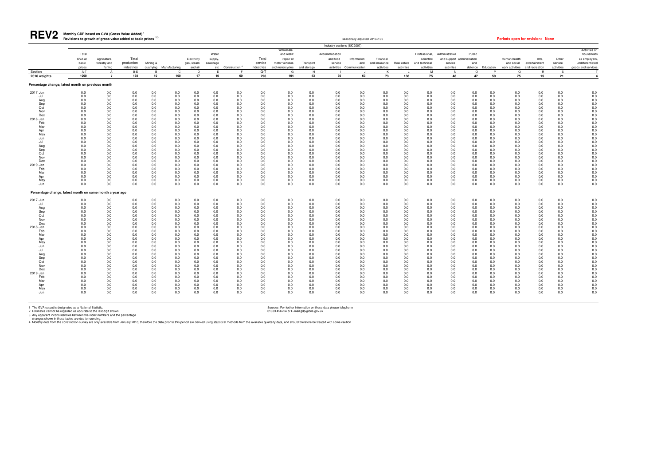| <b>REV2</b>                                                                                                                                                                                                                                     | Monthly GDP based on GVA (Gross Value Added)<br>Revisions to growth of gross value added at basic prices <sup>2,3</sup>                                                     |                                                                                                                                                                             |                                                                                                                                                                                             |                                                                                                                                                                             |                                                                                                                                                                                 |                                                                                                                                                                                     |                                                                                                                                                                                 |                                                                                                                                                                                 |                                                                                                                                                                             |                                                                                                                                                                             |                                                                                                                                                                             |                                                                                                                                                                             | seasonally adjusted 2016=100                                                                                                                                                |                                                                                                                                                                             |                                                                                                                                                                             |                                                                                                                                                                                             |                                                                                                                                                                             |                                                                                                                                                                                 |                                                                                                                                                                             |                                                                                                                                                                                 | Periods open for revision: None                                                                                                                                             |                                                                                                                                                                                 |                                                                                                                                                                                             |
|-------------------------------------------------------------------------------------------------------------------------------------------------------------------------------------------------------------------------------------------------|-----------------------------------------------------------------------------------------------------------------------------------------------------------------------------|-----------------------------------------------------------------------------------------------------------------------------------------------------------------------------|---------------------------------------------------------------------------------------------------------------------------------------------------------------------------------------------|-----------------------------------------------------------------------------------------------------------------------------------------------------------------------------|---------------------------------------------------------------------------------------------------------------------------------------------------------------------------------|-------------------------------------------------------------------------------------------------------------------------------------------------------------------------------------|---------------------------------------------------------------------------------------------------------------------------------------------------------------------------------|---------------------------------------------------------------------------------------------------------------------------------------------------------------------------------|-----------------------------------------------------------------------------------------------------------------------------------------------------------------------------|-----------------------------------------------------------------------------------------------------------------------------------------------------------------------------|-----------------------------------------------------------------------------------------------------------------------------------------------------------------------------|-----------------------------------------------------------------------------------------------------------------------------------------------------------------------------|-----------------------------------------------------------------------------------------------------------------------------------------------------------------------------|-----------------------------------------------------------------------------------------------------------------------------------------------------------------------------|-----------------------------------------------------------------------------------------------------------------------------------------------------------------------------|---------------------------------------------------------------------------------------------------------------------------------------------------------------------------------------------|-----------------------------------------------------------------------------------------------------------------------------------------------------------------------------|---------------------------------------------------------------------------------------------------------------------------------------------------------------------------------|-----------------------------------------------------------------------------------------------------------------------------------------------------------------------------|---------------------------------------------------------------------------------------------------------------------------------------------------------------------------------|-----------------------------------------------------------------------------------------------------------------------------------------------------------------------------|---------------------------------------------------------------------------------------------------------------------------------------------------------------------------------|---------------------------------------------------------------------------------------------------------------------------------------------------------------------------------------------|
|                                                                                                                                                                                                                                                 |                                                                                                                                                                             |                                                                                                                                                                             |                                                                                                                                                                                             |                                                                                                                                                                             |                                                                                                                                                                                 |                                                                                                                                                                                     |                                                                                                                                                                                 |                                                                                                                                                                                 |                                                                                                                                                                             |                                                                                                                                                                             |                                                                                                                                                                             | Industry sections (SIC2007)                                                                                                                                                 |                                                                                                                                                                             |                                                                                                                                                                             |                                                                                                                                                                             |                                                                                                                                                                                             |                                                                                                                                                                             |                                                                                                                                                                                 |                                                                                                                                                                             |                                                                                                                                                                                 |                                                                                                                                                                             |                                                                                                                                                                                 |                                                                                                                                                                                             |
| Section<br>2016 weights                                                                                                                                                                                                                         | Total<br>GVA at<br>basic<br>prices<br>$A-T$<br>1000                                                                                                                         | Agriculture,<br>forestry and<br>fishing<br>$\Delta$<br>$\overline{7}$                                                                                                       | Total<br>production<br>industries<br>B-E<br>138                                                                                                                                             | Mining &<br>quarrying<br>10                                                                                                                                                 | Manufacturing<br>$\Omega$<br>100                                                                                                                                                | Electricity<br>gas, steam<br>and air<br><sub>D</sub><br>17                                                                                                                          | Water<br>supply,<br>sewerage<br>E.<br>10                                                                                                                                        | etc Construction <sup>4</sup><br>60                                                                                                                                             | Total<br>service<br>industries<br>G-T<br>796                                                                                                                                | Wholesale<br>and retail:<br>repair of<br>motor vehicles<br>and motorcycles<br>G<br>104                                                                                      | Transport<br>and storage<br>H<br>43                                                                                                                                         | Accommodation<br>and food<br>service<br>30                                                                                                                                  | Information<br>and<br>activities Communication<br>63                                                                                                                        | Financial<br>and insurance<br>activities<br>73                                                                                                                              | Real estate<br>activities<br>138                                                                                                                                            | Professional,<br>scientific<br>and technical<br>activities<br>M<br>75                                                                                                                       | Administrative<br>and support<br>service<br>activities<br>N<br>48                                                                                                           | Public<br>administration<br>and<br>defence<br>$\Omega$<br>47                                                                                                                    | Education<br>P<br>59                                                                                                                                                        | Human health<br>and social<br>work activities<br>$\mathsf Q$<br>75                                                                                                              | Arts,<br>entertainment<br>and recreation<br><b>R</b><br>15                                                                                                                  | Other<br>service<br>activities<br>$\mathbf{S}$<br>21                                                                                                                            | Activities of<br>households<br>as employers,<br>undifferentiated<br>goods and services<br>$\overline{\mathbf{4}}$                                                                           |
|                                                                                                                                                                                                                                                 |                                                                                                                                                                             |                                                                                                                                                                             |                                                                                                                                                                                             |                                                                                                                                                                             |                                                                                                                                                                                 |                                                                                                                                                                                     |                                                                                                                                                                                 |                                                                                                                                                                                 |                                                                                                                                                                             |                                                                                                                                                                             |                                                                                                                                                                             |                                                                                                                                                                             |                                                                                                                                                                             |                                                                                                                                                                             |                                                                                                                                                                             |                                                                                                                                                                                             |                                                                                                                                                                             |                                                                                                                                                                                 |                                                                                                                                                                             |                                                                                                                                                                                 |                                                                                                                                                                             |                                                                                                                                                                                 |                                                                                                                                                                                             |
| Percentage change, latest month on previous month<br>2017 Jun<br>Jul<br>Aug<br>Sep<br>Oct<br>Nov<br>Dec<br>2018 Jan<br>Feb<br>Mar<br>Apr<br>May<br>Jun<br>Jul<br>Aug<br>Sep<br>Oct<br>Nov<br>Dec<br>2019 Jan<br>Feb<br>Mar<br>Apr<br>May<br>Jun | 0.0<br>0.0<br>0.0<br>0.0<br>0.0<br>0.0<br>0.0<br>0.0<br>0.0<br>0.0<br>0.0<br>0.0<br>0.0<br>0.0<br>0.0<br>0.0<br>0.0<br>0.0<br>0.0<br>0.0<br>0.0<br>0.0<br>0.0<br>0.0<br>0.0 | 0.0<br>0.0<br>0.0<br>0.0<br>0.0<br>0.0<br>0.0<br>0.0<br>0.0<br>0.0<br>0.0<br>0.0<br>0.0<br>0.0<br>0.0<br>0.0<br>0.0<br>0.0<br>0.0<br>0.0<br>0.0<br>0.0<br>0.0<br>0.0<br>0.0 | 0.0<br>0.0<br>0.0<br>$0.0\,$<br>$0.0\,$<br>0.0<br>0.0<br>0.0<br>$0.0\,$<br>0.0<br>0.0<br>0.0<br>0.0<br>0.0<br>0.0<br>0.0<br>0.0<br>0.0<br>$0.0\,$<br>0.0<br>0.0<br>0.0<br>0.0<br>0.0<br>0.0 | 0.0<br>0.0<br>0.0<br>0.0<br>0.0<br>0.0<br>0.0<br>0.0<br>0.0<br>0.0<br>0.0<br>0.0<br>0.0<br>0.0<br>0.0<br>0.0<br>0.0<br>0.0<br>0.0<br>0.0<br>0.0<br>0.0<br>0.0<br>0.0<br>0.0 | 0.0<br>0.0<br>0.0<br>0.0<br>0.0<br>0.0<br>0.0<br>0.0<br>0.0<br>0.0<br>0.0<br>0.0<br>0.0<br>0.0<br>0.0<br>0.0<br>0.0<br>0.0<br>0.0<br>0.0<br>0.0<br>0.0<br>0.0<br>0.0<br>0.0     | 0.0<br>0.0<br>0.0<br>0.0<br>0.0<br>0.0<br>0.0<br>0.0<br>0.0<br>0.0<br>0.0<br>0.0<br>0.0<br>0.0<br>0.0<br>0.0<br>0.0<br>0.0<br>0.0<br>0.0<br>0.0<br>0.0<br>0.0<br>0.0<br>0.0         | 0.0<br>0.0<br>0.0<br>0.0<br>0.0<br>0.0<br>0.0<br>0.0<br>0.0<br>0.0<br>0.0<br>0.0<br>0.0<br>0.0<br>0.0<br>0.0<br>0.0<br>0.0<br>0.0<br>0.0<br>0.0<br>0.0<br>0.0<br>0.0<br>0.0     | 0.0<br>0.0<br>0.0<br>0.0<br>0.0<br>0.0<br>0.0<br>0.0<br>0.0<br>0.0<br>0.0<br>0.0<br>0.0<br>0.0<br>0.0<br>0.0<br>0.0<br>0.0<br>0.0<br>0.0<br>0.0<br>0.0<br>0.0<br>0.0<br>0.0     | 0.0<br>0.0<br>0.0<br>0.0<br>0.0<br>0.0<br>0.0<br>0.0<br>0.0<br>0.0<br>0.0<br>0.0<br>0.0<br>0.0<br>0.0<br>0.0<br>0.0<br>0.0<br>0.0<br>0.0<br>0.0<br>0.0<br>0.0<br>0.0<br>0.0 | 0.0<br>0.0<br>0.0<br>0.0<br>0.0<br>0.0<br>0.0<br>0.0<br>0.0<br>0.0<br>0.0<br>0.0<br>0.0<br>0.0<br>0.0<br>0.0<br>0.0<br>0.0<br>0.0<br>0.0<br>0.0<br>0.0<br>0.0<br>0.0<br>0.0 | 0.0<br>0.0<br>0.0<br>0.0<br>0.0<br>0.0<br>0.0<br>0.0<br>0.0<br>0.0<br>0.0<br>0.0<br>0.0<br>0.0<br>0.0<br>0.0<br>0.0<br>0.0<br>0.0<br>0.0<br>0.0<br>0.0<br>0.0<br>0.0<br>0.0 | 0.0<br>0.0<br>0.0<br>0.0<br>0.0<br>0.0<br>0.0<br>0.0<br>0.0<br>0.0<br>0.0<br>0.0<br>0.0<br>0.0<br>0.0<br>0.0<br>0.0<br>0.0<br>0.0<br>0.0<br>0.0<br>0.0<br>0.0<br>0.0<br>0.0 | 0.0<br>0.0<br>0.0<br>0.0<br>0.0<br>0.0<br>0.0<br>0.0<br>0.0<br>0.0<br>0.0<br>0.0<br>0.0<br>0.0<br>0.0<br>0.0<br>0.0<br>0.0<br>0.0<br>0.0<br>0.0<br>0.0<br>0.0<br>0.0<br>0.0 | 0.0<br>0.0<br>0.0<br>0.0<br>0.0<br>0.0<br>0.0<br>0.0<br>0.0<br>0.0<br>0.0<br>0.0<br>0.0<br>0.0<br>0.0<br>0.0<br>0.0<br>0.0<br>0.0<br>0.0<br>0.0<br>0.0<br>0.0<br>0.0<br>0.0 | 0.0<br>0.0<br>0.0<br>0.0<br>0.0<br>0.0<br>0.0<br>0.0<br>0.0<br>0.0<br>0.0<br>0.0<br>0.0<br>0.0<br>0.0<br>0.0<br>0.0<br>0.0<br>0.0<br>0.0<br>0.0<br>0.0<br>0.0<br>0.0<br>0.0 | 0.0<br>0.0<br>0.0<br>0.0<br>0.0<br>0.0<br>0.0<br>0.0<br>$0.0\,$<br>0.0<br>$0.0\,$<br>0.0<br>0.0<br>0.0<br>0.0<br>0.0<br>0.0<br>$0.0\,$<br>0.0<br>0.0<br>0.0<br>0.0<br>0.0<br>0.0<br>0.0     | 0.0<br>0.0<br>0.0<br>0.0<br>0.0<br>0.0<br>0.0<br>0.0<br>0.0<br>0.0<br>0.0<br>0.0<br>0.0<br>0.0<br>0.0<br>0.0<br>0.0<br>0.0<br>0.0<br>0.0<br>0.0<br>0.0<br>0.0<br>0.0<br>0.0 | 0.0<br>0.0<br>0.0<br>0.0<br>0.0<br>0.0<br>0.0<br>0.0<br>0.0<br>0.0<br>0.0<br>0.0<br>0.0<br>0.0<br>0.0<br>0.0<br>0.0<br>0.0<br>0.0<br>0.0<br>0.0<br>0.0<br>0.0<br>0.0<br>0.0     | 0.0<br>0.0<br>0.0<br>0.0<br>0.0<br>0.0<br>0.0<br>0.0<br>0.0<br>0.0<br>0.0<br>0.0<br>0.0<br>0.0<br>0.0<br>0.0<br>0.0<br>0.0<br>0.0<br>0.0<br>0.0<br>0.0<br>0.0<br>0.0<br>0.0 | 0.0<br>0.0<br>0.0<br>0.0<br>0.0<br>0.0<br>0.0<br>0.0<br>0.0<br>0.0<br>0.0<br>0.0<br>0.0<br>0.0<br>0.0<br>0.0<br>0.0<br>0.0<br>0.0<br>0.0<br>0.0<br>0.0<br>0.0<br>0.0<br>0.0     | 0.0<br>0.0<br>0.0<br>0.0<br>0.0<br>0.0<br>0.0<br>0.0<br>0.0<br>0.0<br>0.0<br>0.0<br>0.0<br>0.0<br>0.0<br>0.0<br>0.0<br>0.0<br>0.0<br>0.0<br>0.0<br>0.0<br>0.0<br>0.0<br>0.0 | 0.0<br>0.0<br>0.0<br>0.0<br>0.0<br>0.0<br>0.0<br>0.0<br>0.0<br>0.0<br>0.0<br>0.0<br>0.0<br>0.0<br>0.0<br>0.0<br>0.0<br>0.0<br>0.0<br>0.0<br>0.0<br>0.0<br>0.0<br>0.0<br>0.0     | 0.0<br>0.0<br>0.0<br>0.0<br>$0.0\,$<br>0.0<br>0.0<br>0.0<br>0.0<br>0.0<br>0.0<br>0.0<br>0.0<br>0.0<br>0.0<br>0.0<br>$0.0\,$<br>0.0<br>$0.0\,$<br>0.0<br>0.0<br>0.0<br>0.0<br>0.0<br>0.0     |
| Percentage change, latest month on same                                                                                                                                                                                                         |                                                                                                                                                                             | month a year ago                                                                                                                                                            |                                                                                                                                                                                             |                                                                                                                                                                             |                                                                                                                                                                                 |                                                                                                                                                                                     |                                                                                                                                                                                 |                                                                                                                                                                                 |                                                                                                                                                                             |                                                                                                                                                                             |                                                                                                                                                                             |                                                                                                                                                                             |                                                                                                                                                                             |                                                                                                                                                                             |                                                                                                                                                                             |                                                                                                                                                                                             |                                                                                                                                                                             |                                                                                                                                                                                 |                                                                                                                                                                             |                                                                                                                                                                                 |                                                                                                                                                                             |                                                                                                                                                                                 |                                                                                                                                                                                             |
| 2017 Jun<br>Jul<br>Aug<br>Sep<br>Oct<br>Nov<br>Dec<br>2018 Jan<br>Feb<br>Mar<br>Apr<br>May<br>Jun<br>Jul<br>Aug<br>Sep<br>Oct<br>Nov<br>Dec<br>2019 Jan<br>Feb<br>Mar<br>Apr<br>May<br>Jun                                                      | 0.0<br>0.0<br>0.0<br>0.0<br>0.0<br>0.0<br>0.0<br>0.0<br>0.0<br>0.0<br>0.0<br>0.0<br>0.0<br>0.0<br>0.0<br>0.0<br>0.0<br>0.0<br>0.0<br>0.0<br>0.0<br>0.0<br>0.0<br>0.0<br>0.0 | 0.0<br>0.0<br>0.0<br>0.0<br>0.0<br>0.0<br>0.0<br>0.0<br>0.0<br>0.0<br>0.0<br>0.0<br>0.0<br>0.0<br>0.0<br>0.0<br>0.0<br>0.0<br>0.0<br>0.0<br>0.0<br>0.0<br>0.0<br>0.0<br>0.0 | 0.0<br>$0.0\,$<br>$0.0\,$<br>0.0<br>$0.0\,$<br>0.0<br>0.0<br>0.0<br>0.0<br>0.0<br>0.0<br>0.0<br>0.0<br>0.0<br>0.0<br>0.0<br>$0.0\,$<br>0.0<br>0.0<br>0.0<br>0.0<br>0.0<br>0.0<br>0.0<br>0.0 | 0.0<br>0.0<br>0.0<br>0.0<br>0.0<br>0.0<br>0.0<br>0.0<br>0.0<br>0.0<br>0.0<br>0.0<br>0.0<br>0.0<br>0.0<br>0.0<br>0.0<br>0.0<br>0.0<br>0.0<br>0.0<br>0.0<br>0.0<br>0.0<br>0.0 | 0.0<br>$0.0\,$<br>0.0<br>0.0<br>0.0<br>0.0<br>0.0<br>0.0<br>0.0<br>0.0<br>0.0<br>0.0<br>0.0<br>0.0<br>0.0<br>0.0<br>0.0<br>0.0<br>0.0<br>0.0<br>0.0<br>0.0<br>0.0<br>0.0<br>0.0 | 0.0<br>$0.0\,$<br>0.0<br>$0.0\,$<br>0.0<br>0.0<br>0.0<br>0.0<br>0.0<br>0.0<br>0.0<br>0.0<br>0.0<br>0.0<br>0.0<br>0.0<br>0.0<br>0.0<br>0.0<br>0.0<br>0.0<br>0.0<br>0.0<br>0.0<br>0.0 | 0.0<br>$0.0\,$<br>0.0<br>0.0<br>0.0<br>0.0<br>0.0<br>0.0<br>0.0<br>0.0<br>0.0<br>0.0<br>0.0<br>0.0<br>0.0<br>0.0<br>0.0<br>0.0<br>0.0<br>0.0<br>0.0<br>0.0<br>0.0<br>0.0<br>0.0 | 0.0<br>$0.0\,$<br>0.0<br>0.0<br>0.0<br>0.0<br>0.0<br>0.0<br>0.0<br>0.0<br>0.0<br>0.0<br>0.0<br>0.0<br>0.0<br>0.0<br>0.0<br>0.0<br>0.0<br>0.0<br>0.0<br>0.0<br>0.0<br>0.0<br>0.0 | 0.0<br>0.0<br>0.0<br>0.0<br>0.0<br>0.0<br>0.0<br>0.0<br>0.0<br>0.0<br>0.0<br>0.0<br>0.0<br>0.0<br>0.0<br>0.0<br>0.0<br>0.0<br>0.0<br>0.0<br>0.0<br>0.0<br>0.0<br>0.0<br>0.0 | 0.0<br>0.0<br>0.0<br>0.0<br>0.0<br>0.0<br>0.0<br>0.0<br>0.0<br>0.0<br>0.0<br>0.0<br>0.0<br>0.0<br>0.0<br>0.0<br>0.0<br>0.0<br>0.0<br>0.0<br>0.0<br>0.0<br>0.0<br>0.0<br>0.0 | 0.0<br>0.0<br>0.0<br>0.0<br>0.0<br>0.0<br>0.0<br>0.0<br>0.0<br>0.0<br>0.0<br>0.0<br>0.0<br>0.0<br>0.0<br>0.0<br>0.0<br>0.0<br>0.0<br>0.0<br>0.0<br>0.0<br>0.0<br>0.0<br>0.0 | 0.0<br>0.0<br>0.0<br>0.0<br>0.0<br>0.0<br>0.0<br>0.0<br>0.0<br>0.0<br>0.0<br>0.0<br>0.0<br>0.0<br>0.0<br>0.0<br>0.0<br>0.0<br>0.0<br>0.0<br>0.0<br>0.0<br>0.0<br>0.0<br>0.0 | 0.0<br>0.0<br>0.0<br>0.0<br>0.0<br>0.0<br>0.0<br>0.0<br>0.0<br>0.0<br>0.0<br>0.0<br>0.0<br>0.0<br>0.0<br>0.0<br>0.0<br>0.0<br>0.0<br>0.0<br>0.0<br>0.0<br>0.0<br>0.0<br>0.0 | 0.0<br>0.0<br>0.0<br>0.0<br>0.0<br>0.0<br>0.0<br>0.0<br>0.0<br>0.0<br>0.0<br>0.0<br>0.0<br>0.0<br>0.0<br>0.0<br>0.0<br>0.0<br>0.0<br>0.0<br>0.0<br>0.0<br>0.0<br>0.0<br>0.0 | 0.0<br>0.0<br>0.0<br>0.0<br>0.0<br>0.0<br>0.0<br>0.0<br>0.0<br>0.0<br>0.0<br>0.0<br>0.0<br>0.0<br>0.0<br>0.0<br>0.0<br>0.0<br>0.0<br>0.0<br>0.0<br>0.0<br>0.0<br>0.0<br>0.0 | 0.0<br>$0.0\,$<br>0.0<br>0.0<br>0.0<br>0.0<br>0.0<br>0.0<br>0.0<br>0.0<br>0.0<br>0.0<br>0.0<br>0.0<br>$0.0\,$<br>$0.0\,$<br>$0.0\,$<br>0.0<br>0.0<br>0.0<br>0.0<br>0.0<br>0.0<br>0.0<br>0.0 | 0.0<br>0.0<br>0.0<br>0.0<br>0.0<br>0.0<br>0.0<br>0.0<br>0.0<br>0.0<br>0.0<br>0.0<br>0.0<br>0.0<br>0.0<br>0.0<br>0.0<br>0.0<br>0.0<br>0.0<br>0.0<br>0.0<br>0.0<br>0.0<br>0.0 | 0.0<br>$0.0\,$<br>0.0<br>0.0<br>0.0<br>0.0<br>0.0<br>0.0<br>0.0<br>0.0<br>0.0<br>0.0<br>0.0<br>0.0<br>0.0<br>0.0<br>0.0<br>0.0<br>0.0<br>0.0<br>0.0<br>0.0<br>0.0<br>0.0<br>0.0 | 0.0<br>0.0<br>0.0<br>0.0<br>0.0<br>0.0<br>0.0<br>0.0<br>0.0<br>0.0<br>0.0<br>0.0<br>0.0<br>0.0<br>0.0<br>0.0<br>0.0<br>0.0<br>0.0<br>0.0<br>0.0<br>0.0<br>0.0<br>0.0<br>0.0 | $0.0\,$<br>0.0<br>0.0<br>0.0<br>0.0<br>0.0<br>0.0<br>0.0<br>0.0<br>0.0<br>0.0<br>0.0<br>0.0<br>0.0<br>0.0<br>0.0<br>0.0<br>0.0<br>0.0<br>0.0<br>0.0<br>0.0<br>0.0<br>0.0<br>0.0 | 0.0<br>0.0<br>0.0<br>0.0<br>0.0<br>0.0<br>0.0<br>0.0<br>0.0<br>0.0<br>0.0<br>0.0<br>0.0<br>0.0<br>0.0<br>0.0<br>0.0<br>0.0<br>0.0<br>0.0<br>0.0<br>0.0<br>0.0<br>0.0<br>0.0 | 0.0<br>$0.0\,$<br>0.0<br>0.0<br>0.0<br>0.0<br>0.0<br>0.0<br>0.0<br>0.0<br>0.0<br>0.0<br>0.0<br>0.0<br>0.0<br>0.0<br>0.0<br>0.0<br>0.0<br>0.0<br>0.0<br>0.0<br>0.0<br>0.0<br>0.0 | 0.0<br>$0.0\,$<br>0.0<br>0.0<br>0.0<br>0.0<br>0.0<br>0.0<br>0.0<br>$0.0\,$<br>0.0<br>$0.0\,$<br>0.0<br>$0.0\,$<br>0.0<br>0.0<br>0.0<br>0.0<br>0.0<br>0.0<br>0.0<br>0.0<br>0.0<br>0.0<br>0.0 |

1 The GVA output is designated as a National Statistic. Norther state plephone<br>2 Estimates cannot be regarded as accurate to the last digit shown.<br>3 Any apparent inconsistencies between the index numbers and the percentage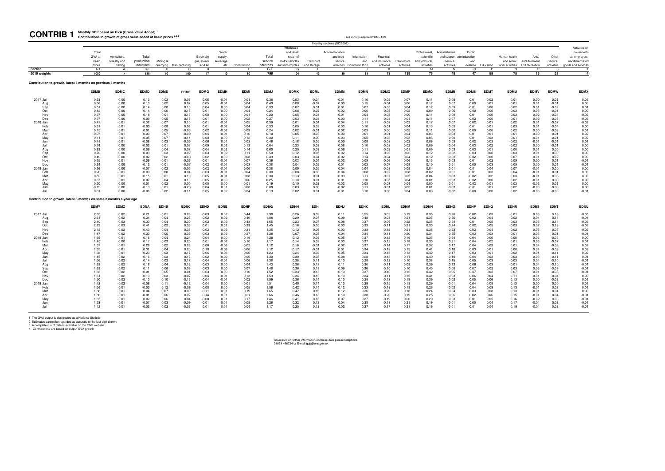**Monthly GDP based on GVA (Gross Value Added) <sup>1</sup>**

1 The GVA output is designated as a National Statistic.<br>2 Estimates cannot be regarded as accurate to the last digit shown.<br>3 A complete run of data is available on the ONS website.<br>4 Contributions are based on output GVA

| <b>CONTRIB1</b>                                                     | Monthly GDP based on GVA (Gross Value Added)<br>Contributions to growth of gross value added at basic prices <sup>2,3,4</sup> |                                         |                                   |                    |                         |                                      |                                     |                    |                                |                                                               |                          |                                      | seasonally adjusted 2016=100                   |                                          |                           |                                                            |                                                                       |                    |                    |                            |                                                          |                                |                                                                       |
|---------------------------------------------------------------------|-------------------------------------------------------------------------------------------------------------------------------|-----------------------------------------|-----------------------------------|--------------------|-------------------------|--------------------------------------|-------------------------------------|--------------------|--------------------------------|---------------------------------------------------------------|--------------------------|--------------------------------------|------------------------------------------------|------------------------------------------|---------------------------|------------------------------------------------------------|-----------------------------------------------------------------------|--------------------|--------------------|----------------------------|----------------------------------------------------------|--------------------------------|-----------------------------------------------------------------------|
|                                                                     |                                                                                                                               |                                         |                                   |                    |                         |                                      |                                     |                    |                                | Wholesale                                                     |                          | Industry sections (SIC2007           |                                                |                                          |                           |                                                            |                                                                       |                    |                    |                            |                                                          |                                | Activities of                                                         |
|                                                                     | Total<br>GVA at<br>basic<br>prices                                                                                            | Agriculture,<br>forestry and<br>fishing | Total<br>production<br>industries | Mining &           | quarrying Manufacturing | Electricity<br>gas, steam<br>and air | Water<br>supply,<br>sewerage<br>etc | Construction       | Total<br>service<br>industries | and retail:<br>repair of<br>motor vehicles<br>and motorcycles | Transport<br>and storage | Accommodation<br>and food<br>service | Information<br>and<br>activities Communication | Financial<br>and insurance<br>activities | Real estate<br>activities | Professional,<br>scientific<br>and technical<br>activities | Administrative<br>and support administration<br>service<br>activities | Public<br>and      | defence Education  | Human health<br>and social | Arts,<br>entertainment<br>work activities and recreation | Other<br>service<br>activities | households<br>as employers,<br>undifferentiated<br>goods and services |
| Section<br>2016 weights                                             | $A-T$<br>1000                                                                                                                 | $\Delta$<br>$\overline{7}$              | $B - E$<br>138                    | $\mathsf{R}$<br>10 | C.<br>100               | n.<br>17                             | E<br>10                             | E<br>60            | $G-T$<br>796                   | G<br>104                                                      | H<br>43                  | 30                                   | 63                                             | $\mathsf{K}$<br>73                       | 138                       | M<br>75                                                    | N<br>48                                                               | $\Omega$<br>47     | 59                 | $\Omega$<br>75             | R<br>15                                                  | $\mathcal{S}$<br>21            | $\overline{4}$                                                        |
|                                                                     |                                                                                                                               |                                         |                                   |                    |                         |                                      |                                     |                    |                                |                                                               |                          |                                      |                                                |                                          |                           |                                                            |                                                                       |                    |                    |                            |                                                          |                                |                                                                       |
| Contribution to growth, latest 3 months on previous 3 months        |                                                                                                                               |                                         |                                   |                    |                         |                                      |                                     |                    |                                |                                                               |                          |                                      |                                                |                                          |                           |                                                            |                                                                       |                    |                    |                            |                                                          |                                |                                                                       |
|                                                                     | <b>EDMB</b>                                                                                                                   | <b>EDMC</b>                             | <b>EDMD</b>                       | <b>EDME</b>        | <b>EDMF</b>             | <b>EDMG</b>                          | <b>EDMH</b>                         | <b>EDMI</b>        | <b>EDMJ</b>                    | <b>EDMK</b>                                                   | <b>EDML</b>              | <b>EDMM</b>                          | <b>EDMN</b>                                    | <b>EDMO</b>                              | <b>EDMP</b>               | <b>EDMQ</b>                                                | <b>EDMR</b>                                                           | <b>EDMS</b>        | <b>EDMT</b>        | <b>EDMU</b>                | <b>EDMV</b>                                              | <b>EDMW</b>                    | <b>EDMX</b>                                                           |
| 2017 Jul                                                            | 0.53                                                                                                                          | 0.00                                    | 0.13                              | 0.03               | 0.06                    | 0.06                                 | $-0.01$                             | 0.01               | 0.38                           | 0.03                                                          | $-0.04$                  | $-0.01$                              | 0.16                                           | $-0.05$                                  | 0.07                      | 0.11                                                       | 0.08                                                                  | 0.01               | $-0.02$            | 0.01                       | 0.00                                                     | 0.01                           | 0.03                                                                  |
| Aug<br>Sep                                                          | 0.58<br>0.51                                                                                                                  | 0.00<br>0.00                            | 0.13<br>0.14                      | 0.02<br>0.00       | 0.07<br>0.10            | 0.05<br>0.04                         | $-0.01$<br>0.00                     | 0.04<br>0.04       | 0.40<br>0.33                   | 0.08<br>0.07                                                  | $-0.04$<br>0.01          | 0.00<br>0.01                         | 0.15<br>0.07                                   | $-0.04$<br>$-0.05$                       | 0.06<br>0.04              | 0.12<br>0.12                                               | 0.07<br>0.09                                                          | 0.00<br>$-0.01$    | $-0.01$<br>0.00    | $-0.01$<br>$-0.02$         | 0.01<br>0.01                                             | $-0.01$<br>$-0.02$             | 0.03<br>0.01                                                          |
| Oct                                                                 | 0.42                                                                                                                          | 0.00                                    | 0.14                              | 0.00               | 0.13                    | 0.01                                 | 0.00                                | 0.04               | 0.24                           | 0.08                                                          | 0.02                     | $-0.02$                              | 0.06                                           | $-0.05$                                  | 0.02                      | 0.09                                                       | 0.06                                                                  | 0.00               | 0.00               | $-0.03$                    | 0.03                                                     | $-0.01$                        | 0.00                                                                  |
| Nov                                                                 | 0.37                                                                                                                          | 0.00                                    | 0.18                              | 0.01               | 0.17                    | 0.00                                 | 0.00                                | $-0.01$            | 0.20                           | 0.05                                                          | 0.04                     | $-0.01$                              | 0.04                                           | $-0.05$                                  | 0.00                      | 0.11                                                       | 0.08                                                                  | 0.01               | 0.00               | $-0.03$                    | 0.02                                                     | $-0.04$                        | $-0.02$                                                               |
| Dec                                                                 | 0.37                                                                                                                          | 0.00                                    | 0.09                              | $-0.05$            | 0.15                    | $-0.01$                              | 0.00                                | 0.02               | 0.27                           | 0.03                                                          | 0.04                     | 0.00                                 | 0.11                                           | $-0.04$                                  | 0.01                      | 0.11                                                       | 0.07                                                                  | 0.02               | 0.00               | $-0.01$                    | 0.02                                                     | $-0.05$                        | $-0.03$                                                               |
| 2018 Jan                                                            | 0.47                                                                                                                          | $-0.01$                                 | 0.02                              | $-0.07$            | 0.10                    | $-0.01$                              | $-0.01$                             | 0.05               | 0.39                           | 0.01                                                          | 0.04                     | 0.04                                 | 0.11                                           | $-0.03$                                  | 0.02                      | 0.17                                                       | 0.07                                                                  | 0.02               | $-0.01$            | 0.02                       | 0.01                                                     | $-0.07$<br>$-0.04$             | $-0.02$                                                               |
| Feb<br>Mar                                                          | 0.31<br>0.15                                                                                                                  | $-0.01$<br>$-0.01$                      | $-0.05$<br>0.01                   | $-0.08$<br>0.05    | 0.03<br>$-0.03$         | 0.01<br>0.02                         | $-0.02$<br>$-0.02$                  | 0.04<br>$-0.09$    | 0.33<br>0.24                   | 0.00<br>0.02                                                  | 0.02<br>$-0.01$          | 0.03<br>0.02                         | 0.10<br>0.03                                   | $-0.01$<br>0.00                          | 0.04<br>0.05              | 0.13<br>0.11                                               | 0.03<br>0.00                                                          | 0.01<br>0.00       | $-0.01$<br>0.00    | 0.03<br>0.02               | 0.01<br>0.00                                             | $-0.03$                        | 0.00<br>0.01                                                          |
| Apr                                                                 | $-0.07$                                                                                                                       | $-0.01$                                 | 0.00                              | 0.07               | $-0.09$                 | 0.04                                 | $-0.01$                             | $-0.16$            | 0.10                           | 0.05                                                          | $-0.03$                  | 0.00                                 | 0.01                                           | $-0.01$                                  | 0.04                      | 0.03                                                       | $-0.03$                                                               | 0.01               | 0.01               | 0.01                       | 0.00                                                     | $-0.01$                        | 0.02                                                                  |
| May                                                                 | 0.11                                                                                                                          | $-0.01$                                 | $-0.05$                           | 0.07               | $-0.11$                 | 0.00                                 | 0.00                                | $-0.12$            | 0.30                           | 0.11                                                          | 0.00                     | 0.03                                 | 0.05                                           | $-0.03$                                  | 0.03                      | 0.06                                                       | 0.00                                                                  | 0.01               | 0.03               | $-0.01$                    | $-0.01$                                                  | $-0.01$                        | 0.02                                                                  |
| Jun                                                                 | 0.41                                                                                                                          | $-0.01$                                 | $-0.08$                           | 0.03               | $-0.05$                 | $-0.06$                              | 0.01                                | 0.03               | 0.46                           | 0.18                                                          | 0.05                     | 0.05                                 | 0.08                                           | $-0.03$                                  | 0.02                      | 0.06                                                       | 0.03                                                                  | 0.02               | 0.03               | $-0.02$                    | $-0.01$                                                  | $-0.01$                        | 0.01                                                                  |
| Jul                                                                 | 0.74<br>0.83                                                                                                                  | 0.00<br>0.00                            | $-0.03$<br>0.09                   | 0.01<br>0.04       | 0.03<br>0.07            | $-0.09$<br>$-0.04$                   | 0.02<br>0.02                        | 0.13<br>0.14       | 0.64<br>0.60                   | 0.23<br>0.20                                                  | 0.08<br>0.08             | 0.08<br>0.06                         | 0.10<br>0.11                                   | $-0.03$<br>$-0.02$                       | 0.02<br>0.01              | 0.09<br>0.09                                               | 0.04<br>0.03                                                          | 0.03<br>0.03       | 0.02<br>0.01       | $-0.02$<br>0.00            | 0.00<br>0.01                                             | $-0.01$<br>0.00                | 0.00<br>0.00                                                          |
| Aug<br>Sep                                                          | 0.70                                                                                                                          | 0.00                                    | 0.09                              | 0.03               | 0.02                    | 0.03                                 | 0.02                                | 0.11               | 0.50                           | 0.12                                                          | 0.05                     | 0.02                                 | 0.14                                           | $-0.02$                                  | 0.02                      | 0.12                                                       | $-0.02$                                                               | 0.03               | 0.00               | 0.03                       | 0.01                                                     | 0.00                           | 0.00                                                                  |
| Oct                                                                 | 0.49                                                                                                                          | 0.00                                    | 0.02                              | 0.02               | $-0.03$                 | 0.02                                 | 0.00                                | 0.08               | 0.39                           | 0.03                                                          | 0.04                     | $-0.02$                              | 0.14                                           | $-0.04$                                  | 0.04                      | 0.12                                                       | $-0.03$                                                               | 0.02               | 0.00               | 0.07                       | 0.01                                                     | 0.02                           | 0.00                                                                  |
| Nov                                                                 | 0.35                                                                                                                          | 0.01                                    | $-0.09$                           | $-0.01$            | $-0.06$                 | $-0.01$                              | $-0.01$                             | 0.07               | 0.36                           | 0.03                                                          | 0.04                     | $-0.02$                              | 0.09                                           | $-0.06$                                  | 0.06                      | 0.13                                                       | $-0.03$                                                               | 0.01               | 0.02               | 0.09                       | 0.00                                                     | 0.01                           | $-0.01$                                                               |
| Dec                                                                 | 0.24                                                                                                                          | 0.00                                    | $-0.12$                           | $-0.01$            | $-0.07$                 | $-0.02$                              | $-0.01$                             | $-0.03$            | 0.38                           | 0.04                                                          | 0.05                     | 0.01                                 | 0.03                                           | $-0.07$                                  | 0.09                      | 0.10                                                       | 0.01                                                                  | 0.00               | 0.03               | 0.09                       | 0.00                                                     | 0.01                           | $-0.01$                                                               |
| 2019 Jan<br>Feb                                                     | 0.26<br>0.26                                                                                                                  | 0.00<br>$-0.01$                         | $-0.07$<br>0.00                   | $-0.02$<br>0.00    | $-0.03$<br>0.04         | $-0.02$<br>$-0.03$                   | $-0.01$<br>$-0.01$                  | $-0.06$<br>$-0.04$ | 0.38<br>0.30                   | 0.09<br>0.08                                                  | 0.05<br>0.03             | 0.04<br>0.04                         | 0.04<br>0.08                                   | $-0.08$<br>$-0.07$                       | 0.09<br>0.08              | 0.04<br>$-0.02$                                            | 0.01<br>0.01                                                          | $-0.01$<br>$-0.01$ | 0.04<br>0.03       | 0.07<br>0.04               | $-0.01$<br>$-0.01$                                       | 0.00<br>0.01                   | 0.00<br>0.00                                                          |
| Mar                                                                 | 0.52                                                                                                                          | $-0.01$                                 | 0.15                              | 0.01               | 0.19                    | $-0.05$                              | $-0.01$                             | 0.08               | 0.30                           | 0.13                                                          | 0.01                     | 0.03                                 | 0.11                                           | $-0.07$                                  | 0.05                      | $-0.04$                                                    | 0.03                                                                  | $-0.02$            | 0.02               | 0.03                       | $-0.01$                                                  | 0.03                           | 0.00                                                                  |
| An                                                                  | 0.37                                                                                                                          | $-0.01$                                 | 0.07                              | 0.04               | 0.10                    | $-0.05$                              | 0.00                                | 0.06               | 0.25                           | 0.10                                                          | 0.01                     | 0.01                                 | 0.10                                           | $-0.05$                                  | 0.04                      | $-0.01$                                                    | 0.03                                                                  | $-0.02$            | 0.00               | 0.02                       | $-0.01$                                                  | 0.03                           | 0.00                                                                  |
| May                                                                 | 0.20                                                                                                                          | 0.00                                    | 0.01                              | 0.02               | 0.00                    | 0.00                                 | 0.00                                | $-0.01$            | 0.19                           | 0.10                                                          | 0.02                     | $-0.02$                              | 0.08                                           | $-0.03$                                  | 0.04                      | 0.00                                                       | 0.01                                                                  | $-0.02$            | $-0.01$            | 0.03                       | $-0.02$                                                  | 0.01                           | 0.00                                                                  |
| Jun<br>Jul                                                          | $-0.19$<br>0.01                                                                                                               | 0.00<br>0.00                            | $-0.19$<br>$-0.06$                | $-0.01$<br>$-0.02$ | $-0.23$<br>$-0.11$      | 0.04<br>0.05                         | 0.01<br>0.02                        | $-0.08$<br>$-0.04$ | 0.08<br>0.13                   | 0.03<br>0.02                                                  | 0.00<br>0.01             | $-0.02$<br>$-0.01$                   | 0.11<br>0.10                                   | $-0.01$<br>0.00                          | 0.05<br>0.04              | 0.01<br>0.03                                               | $-0.03$<br>$-0.02$                                                    | $-0.01$<br>0.00    | $-0.01$<br>0.00    | 0.02<br>0.02               | $-0.03$<br>$-0.03$                                       | $-0.03$<br>$-0.03$             | 0.00<br>$-0.01$                                                       |
|                                                                     |                                                                                                                               |                                         |                                   |                    |                         |                                      |                                     |                    |                                |                                                               |                          |                                      |                                                |                                          |                           |                                                            |                                                                       |                    |                    |                            |                                                          |                                |                                                                       |
| Contribution to growth, latest 3 months on same 3 months a year ago |                                                                                                                               |                                         |                                   |                    |                         |                                      |                                     |                    |                                |                                                               |                          |                                      |                                                |                                          |                           |                                                            |                                                                       |                    |                    |                            |                                                          |                                |                                                                       |
|                                                                     | <b>EDMY</b>                                                                                                                   | <b>EDMZ</b>                             | <b>EDNA</b>                       | <b>EDNB</b>        | <b>EDNC</b>             | <b>EDND</b>                          | <b>EDNE</b>                         | <b>EDNF</b>        | <b>EDNG</b>                    | <b>EDNH</b>                                                   | <b>EDNI</b>              | <b>EDNJ</b>                          | <b>EDNK</b>                                    | <b>EDNL</b>                              | <b>EDNM</b>               | <b>EDNN</b>                                                | <b>EDNO</b>                                                           | <b>EDNP</b>        | <b>EDNQ</b>        | <b>EDNR</b>                | <b>EDNS</b>                                              | <b>EDNT</b>                    | EDNU                                                                  |
| 2017 Jul                                                            | 2.65                                                                                                                          | 0.02<br>0.02                            | 0.21                              | $-0.01$            | 0.23                    | $-0.03$<br>$-0.02$                   | 0.02                                | 0.44               | 1.98                           | 0.26                                                          | 0.09                     | 0.11                                 | 0.55                                           | 0.02                                     | 0.19                      | 0.35                                                       | 0.26                                                                  | 0.02               | 0.03               | $-0.01$                    | 0.03                                                     | 0.13                           | $-0.05$<br>$-0.04$                                                    |
| Aug<br>Sep                                                          | 2.61<br>2.40                                                                                                                  | 0.03                                    | 0.24<br>0.30                      | $-0.04$<br>$-0.04$ | 0.27<br>0.30            | 0.02                                 | 0.02<br>0.02                        | 0.46<br>0.43       | 1.88<br>1.65                   | 0.29<br>0.23                                                  | 0.07<br>0.07             | 0.09<br>0.08                         | 0.48<br>0.37                                   | $-0.04$<br>$-0.09$                       | 0.21<br>0.22              | 0.35<br>0.35                                               | 0.26<br>0.24                                                          | 0.02<br>0.01       | 0.04<br>0.05       | $-0.02$<br>$-0.03$         | 0.04<br>0.05                                             | 0.13<br>0.14                   | $-0.03$                                                               |
| Oct                                                                 | 2.29                                                                                                                          | 0.03                                    | 0.41                              | 0.02               | 0.36                    | 0.01                                 | 0.02                                | 0.39               | 1.45                           | 0.16                                                          | 0.05                     | 0.03                                 | 0.33                                           | $-0.11$                                  | 0.21                      | 0.35                                                       | 0.24                                                                  | 0.02               | 0.05               | $-0.03$                    | 0.07                                                     | 0.13                           | $-0.03$                                                               |
| Nov                                                                 | 2.12                                                                                                                          | 0.02                                    | 0.43                              | 0.04               | 0.38                    | $-0.02$                              | 0.02                                | 0.31               | 1.35                           | 0.12                                                          | 0.06                     | 0.03                                 | 0.33                                           | $-0.12$                                  | 0.21                      | 0.36                                                       | 0.23                                                                  | 0.02               | 0.04               | $-0.02$                    | 0.05                                                     | 0.07                           | $-0.02$                                                               |
| Dec                                                                 | 1.87                                                                                                                          | 0.02                                    | 0.30                              | 0.00               | 0.32                    | $-0.03$                              | 0.02                                | 0.27               | 1.28                           | 0.07                                                          | 0.05                     | 0.04                                 | 0.34                                           | $-0.11$                                  | 0.20                      | 0.34                                                       | 0.25                                                                  | 0.03               | 0.03               | $-0.01$                    | 0.05                                                     | 0.01                           | $-0.01$                                                               |
| 2018 Jan                                                            | 1.65                                                                                                                          | 0.01                                    | 0.16                              | $-0.04$            | 0.24                    | $-0.04$                              | 0.00                                | 0.19               | 1.28                           | 0.12                                                          | 0.05                     | 0.05                                 | 0.37                                           | $-0.12$                                  | 0.19                      | 0.35                                                       | 0.24                                                                  | 0.04               | 0.00               | 0.00                       | 0.03                                                     | $-0.05$                        | 0.00                                                                  |
| Feb<br>Mar                                                          | 1.45<br>1.37                                                                                                                  | 0.00<br>$-0.01$                         | 0.17<br>0.28                      | $-0.03$<br>0.02    | 0.20<br>0.23            | 0.01<br>0.06                         | $-0.02$<br>$-0.03$                  | 0.10<br>$-0.02$    | 1.17<br>1.12                   | 0.14<br>0.16                                                  | 0.02<br>$-0.01$          | 0.03<br>0.02                         | 0.37<br>0.37                                   | $-0.12$<br>$-0.14$                       | 0.18<br>0.17              | 0.35<br>0.37                                               | 0.21<br>0.17                                                          | 0.04<br>0.04       | $-0.02$<br>$-0.03$ | 0.01<br>0.01               | 0.03<br>0.04                                             | $-0.07$<br>$-0.08$             | 0.01<br>0.02                                                          |
| Apr                                                                 | 1.35                                                                                                                          | $-0.01$                                 | 0.31                              | 0.04               | 0.20                    | 0.10                                 | $-0.03$                             | $-0.06$            | 1.12                           | 0.17                                                          | $-0.01$                  | 0.01                                 | 0.34                                           | $-0.13$                                  | 0.15                      | 0.41                                                       | 0.18                                                                  | 0.03               | $-0.01$            | 0.00                       | 0.04                                                     | $-0.09$                        | 0.02                                                                  |
| May                                                                 | 1.38                                                                                                                          | $-0.01$                                 | 0.23                              | 0.03               | 0.17                    | 0.06                                 | $-0.03$                             | $-0.06$            | 1.23                           | 0.24                                                          | 0.02                     | 0.05                                 | 0.34                                           | $-0.13$                                  | 0.13                      | 0.42                                                       | 0.17                                                                  | 0.03               | 0.01               | $-0.02$                    | 0.04                                                     | $-0.11$                        | 0.02                                                                  |
| Jun                                                                 | 1.45                                                                                                                          | $-0.02$                                 | 0.16                              | 0.03               | 0.17                    | $-0.02$                              | $-0.02$                             | 0.00               | 1.30                           | 0.30                                                          | 0.08                     | 0.08                                 | 0.28                                           | $-0.13$                                  | 0.11                      | 0.40                                                       | 0.19                                                                  | 0.04               | 0.03               | $-0.03$                    | 0.03                                                     | $-0.11$                        | 0.01                                                                  |
| Jul                                                                 | 1.56                                                                                                                          | $-0.02$                                 | 0.14                              | 0.02               | 0.17                    | $-0.04$                              | $-0.01$                             | 0.06               | 1.38                           | 0.38                                                          | 0.11                     | 0.10                                 | 0.28                                           | $-0.12$                                  | 0.10                      | 0.38                                                       | 0.15                                                                  | 0.05               | 0.03               | $-0.03$                    | 0.04                                                     | $-0.10$                        | $-0.01$                                                               |
| Aug                                                                 | 1.63<br>1.63                                                                                                                  | $-0.02$                                 | 0.18                              | 0.04<br>0.06       | 0.16<br>0.09            | $-0.03$                              | 0.00<br>0.00                        | 0.04<br>0.07       | 1.43                           | 0.36<br>0.36                                                  | 0.13<br>0.13             | 0.11                                 | 0.30                                           | $-0.11$                                  | 0.09                      | 0.39<br>0.40                                               | 0.13                                                                  | 0.06               | 0.03<br>0.02       | $-0.01$                    | 0.04                                                     | $-0.10$<br>$-0.09$             | $-0.01$<br>$-0.01$                                                    |
| Sep<br>Oct                                                          | 1.63                                                                                                                          | $-0.02$<br>$-0.02$                      | 0.11<br>0.01                      | 0.05               | 0.01                    | $-0.03$<br>$-0.03$                   | 0.00                                | 0.10               | 1.48<br>1.52                   | 0.33                                                          | 0.13                     | 0.09<br>0.10                         | 0.36<br>0.37                                   | $-0.10$<br>$-0.10$                       | 0.10<br>0.12              | 0.42                                                       | 0.08<br>0.05                                                          | 0.07<br>0.07       | 0.03               | 0.03<br>0.07               | 0.03<br>0.01                                             | $-0.08$                        | $-0.01$                                                               |
| Nov                                                                 | 1.61                                                                                                                          | $-0.02$                                 | $-0.10$                           | 0.03               | $-0.07$                 | $-0.04$                              | $-0.01$                             | 0.13               | 1.59                           | 0.34                                                          | 0.13                     | 0.10                                 | 0.34                                           | $-0.11$                                  | 0.15                      | 0.41                                                       | 0.03                                                                  | 0.06               | 0.04               | 0.11                       | 0.01                                                     | $-0.04$                        | 0.00                                                                  |
| Dec                                                                 | 1.50                                                                                                                          | $-0.02$                                 | $-0.10$                           | 0.10               | $-0.13$                 | $-0.04$                              | $-0.01$                             | 0.02               | 1.59                           | 0.36                                                          | 0.14                     | 0.10                                 | 0.28                                           | $-0.13$                                  | 0.18                      | 0.39                                                       | 0.02                                                                  | 0.05               | 0.06               | 0.13                       | 0.00                                                     | $-0.02$                        | 0.01                                                                  |
| 2019 Jan                                                            | 1.42                                                                                                                          | $-0.02$                                 | $-0.08$                           | 0.11               | $-0.12$                 | $-0.04$                              | 0.00                                | $-0.01$            | 1.51                           | 0.40                                                          | 0.14                     | 0.10                                 | 0.29                                           | $-0.15$                                  | 0.18                      | 0.29                                                       | $-0.01$                                                               | 0.04               | 0.08               | 0.13                       | 0.00                                                     | 0.00                           | 0.01                                                                  |
| Feb<br>Mar                                                          | 1.56<br>1.88                                                                                                                  | $-0.01$<br>$-0.01$                      | $-0.05$<br>0.04                   | 0.12<br>0.07       | $-0.06$<br>0.09         | $-0.08$<br>$-0.11$                   | 0.00<br>0.01                        | 0.05<br>0.19       | 1.56<br>1.65                   | 0.42<br>0.47                                                  | 0.14                     | 0.12<br>0.12                         | 0.33<br>0.36                                   | $-0.18$<br>$-0.20$                       | 0.19                      | 0.26<br>0.24                                               | 0.02<br>0.04                                                          | 0.04<br>0.03       | 0.09<br>0.08       | 0.13                       | $-0.01$<br>$-0.01$                                       | 0.02<br>0.04                   | 0.01<br>0.00                                                          |
| Apr                                                                 | 1.86                                                                                                                          | $-0.01$                                 | $-0.01$                           | 0.06               | 0.07                    | $-0.14$                              | 0.01                                | 0.21               | 1.66                           | 0.46                                                          | 0.16<br>0.18             | 0.10                                 | 0.38                                           | $-0.20$                                  | 0.18<br>0.19              | 0.25                                                       | 0.06                                                                  | 0.02               | 0.06               | 0.13<br>0.15               | $-0.01$                                                  | 0.04                           | $-0.01$                                                               |
| May                                                                 | 1.65                                                                                                                          | $-0.01$                                 | 0.02                              | 0.06               | 0.04                    | $-0.08$                              | 0.01                                | 0.17               | 1.46                           | 0.41                                                          | 0.16                     | 0.07                                 | 0.37                                           | $-0.19$                                  | 0.20                      | 0.20                                                       | 0.03                                                                  | 0.01               | 0.05               | 0.16                       | $-0.02$                                                  | 0.03                           | $-0.01$                                                               |
| Jun                                                                 | 1.28                                                                                                                          | $-0.01$                                 | $-0.07$                           | 0.03               | -0.09                   | $-0.01$                              | 0.01                                | 0.08               | 1.26                           | 0.32                                                          | 0.12                     | 0.04                                 | 0.38                                           | $-0.18$                                  | 0.21                      | 0.19                                                       | $-0.01$                                                               | 0.00               | 0.04               | 0.17                       | $-0.04$                                                  | 0.02                           | $-0.01$                                                               |
| . In I                                                              | 1.12                                                                                                                          | $-0.01$                                 | $-0.03$                           | 0.02               | -0.06                   | 0.01                                 | 0.01                                | 0.04               | 1.17                           | 0.25                                                          | 0.12                     | 0.02                                 | 0.37                                           | $-0.17$                                  | 0.21                      | 0.19                                                       | $-0.01$                                                               | $-0.01$            | 0.04               | 0.19                       | $-0.04$                                                  | 0.02                           | $-0.01$                                                               |

Sources: For further information on these data please telephone 01633 456724 or E-mail gdp@ons.gov.uk